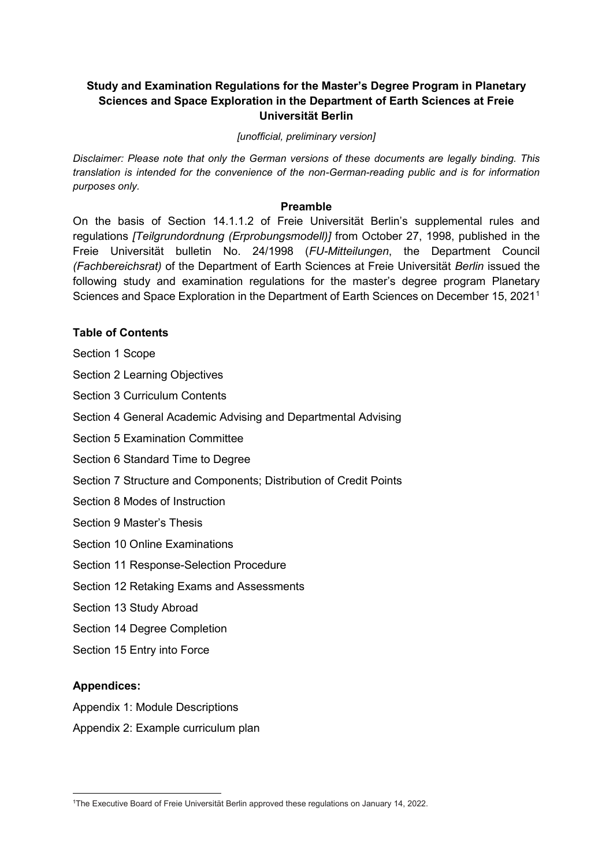### **Study and Examination Regulations for the Master's Degree Program in Planetary Sciences and Space Exploration in the Department of Earth Sciences at Freie Universität Berlin**

*[unofficial, preliminary version]*

*Disclaimer: Please note that only the German versions of these documents are legally binding. This translation is intended for the convenience of the non-German-reading public and is for information purposes only.*

#### **Preamble**

On the basis of Section 14.1.1.2 of Freie Universität Berlin's supplemental rules and regulations *[Teilgrundordnung (Erprobungsmodell)]* from October 27, 1998, published in the Freie Universität bulletin No. 24/1998 (*FU-Mitteilungen*, the Department Council *(Fachbereichsrat)* of the Department of Earth Sciences at Freie Universität *Berlin* issued the following study and examination regulations for the master's degree program Planetary Sciences and Space Exploration in the Department of Earth Sciences on December 15, 2021[1](#page-0-0)

#### **Table of Contents**

Section 1 Scope

Section 2 Learning Objectives

Section 3 Curriculum Contents

Section 4 General Academic Advising and Departmental Advising

Section 5 Examination Committee

Section 6 Standard Time to Degree

Section 7 Structure and Components; Distribution of Credit Points

Section 8 Modes of Instruction

Section 9 Master's Thesis

Section 10 Online Examinations

Section 11 Response-Selection Procedure

Section 12 Retaking Exams and Assessments

Section 13 Study Abroad

Section 14 Degree Completion

Section 15 Entry into Force

#### **Appendices:**

Appendix 1: Module Descriptions

Appendix 2: Example curriculum plan

<span id="page-0-0"></span> $\overline{a}$ 1 The Executive Board of Freie Universität Berlin approved these regulations on January 14, 2022.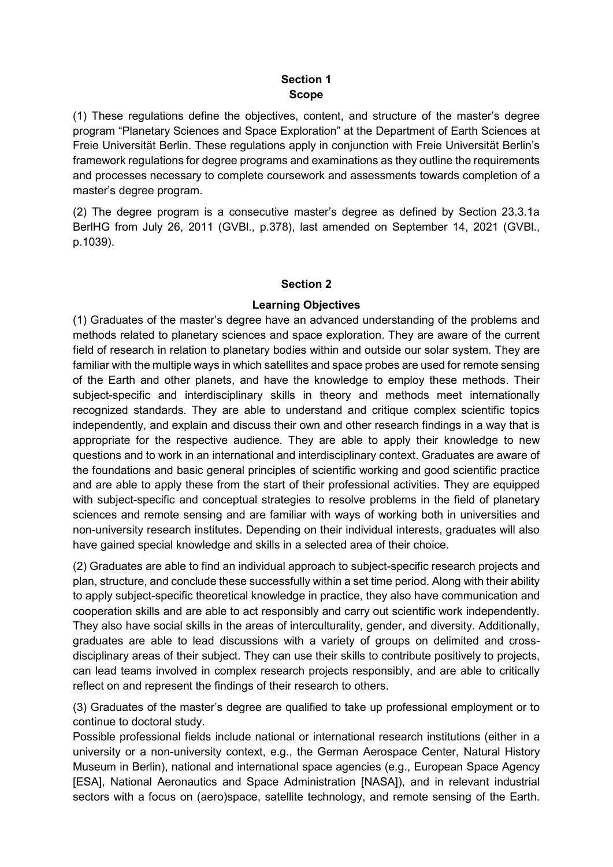### **Section 1 Scope**

(1) These regulations define the objectives, content, and structure of the master's degree program "Planetary Sciences and Space Exploration" at the Department of Earth Sciences at Freie Universität Berlin. These regulations apply in conjunction with Freie Universität Berlin's framework regulations for degree programs and examinations as they outline the requirements and processes necessary to complete coursework and assessments towards completion of a master's degree program.

(2) The degree program is a consecutive master's degree as defined by Section 23.3.1a BerlHG from July 26, 2011 (GVBl., p.378), last amended on September 14, 2021 (GVBl., p.1039).

#### **Section 2**

### **Learning Objectives**

(1) Graduates of the master's degree have an advanced understanding of the problems and methods related to planetary sciences and space exploration. They are aware of the current field of research in relation to planetary bodies within and outside our solar system. They are familiar with the multiple ways in which satellites and space probes are used for remote sensing of the Earth and other planets, and have the knowledge to employ these methods. Their subject-specific and interdisciplinary skills in theory and methods meet internationally recognized standards. They are able to understand and critique complex scientific topics independently, and explain and discuss their own and other research findings in a way that is appropriate for the respective audience. They are able to apply their knowledge to new questions and to work in an international and interdisciplinary context. Graduates are aware of the foundations and basic general principles of scientific working and good scientific practice and are able to apply these from the start of their professional activities. They are equipped with subject-specific and conceptual strategies to resolve problems in the field of planetary sciences and remote sensing and are familiar with ways of working both in universities and non-university research institutes. Depending on their individual interests, graduates will also have gained special knowledge and skills in a selected area of their choice.

(2) Graduates are able to find an individual approach to subject-specific research projects and plan, structure, and conclude these successfully within a set time period. Along with their ability to apply subject-specific theoretical knowledge in practice, they also have communication and cooperation skills and are able to act responsibly and carry out scientific work independently. They also have social skills in the areas of interculturality, gender, and diversity. Additionally, graduates are able to lead discussions with a variety of groups on delimited and crossdisciplinary areas of their subject. They can use their skills to contribute positively to projects, can lead teams involved in complex research projects responsibly, and are able to critically reflect on and represent the findings of their research to others.

(3) Graduates of the master's degree are qualified to take up professional employment or to continue to doctoral study.

Possible professional fields include national or international research institutions (either in a university or a non-university context, e.g., the German Aerospace Center, Natural History Museum in Berlin), national and international space agencies (e.g., European Space Agency [ESA], National Aeronautics and Space Administration [NASA]), and in relevant industrial sectors with a focus on (aero)space, satellite technology, and remote sensing of the Earth.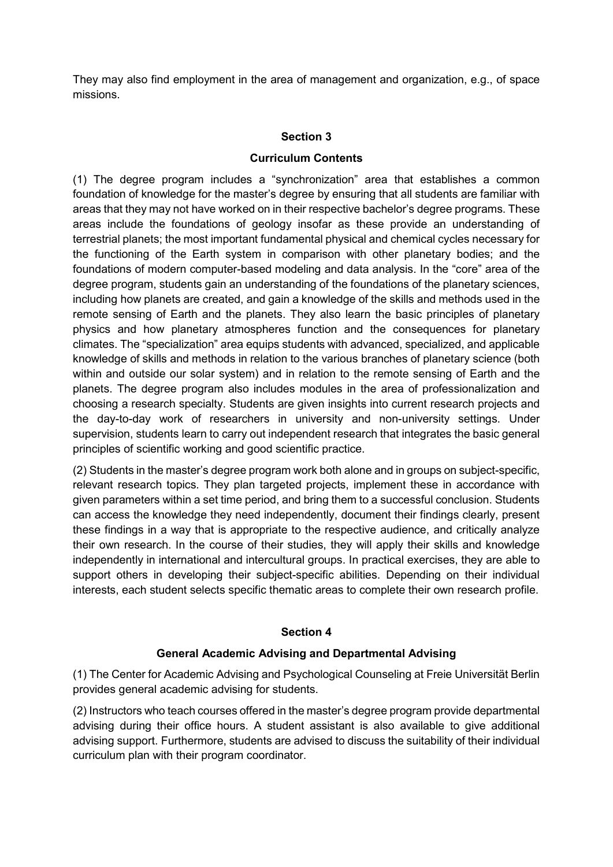They may also find employment in the area of management and organization, e.g., of space missions.

### **Section 3**

#### **Curriculum Contents**

(1) The degree program includes a "synchronization" area that establishes a common foundation of knowledge for the master's degree by ensuring that all students are familiar with areas that they may not have worked on in their respective bachelor's degree programs. These areas include the foundations of geology insofar as these provide an understanding of terrestrial planets; the most important fundamental physical and chemical cycles necessary for the functioning of the Earth system in comparison with other planetary bodies; and the foundations of modern computer-based modeling and data analysis. In the "core" area of the degree program, students gain an understanding of the foundations of the planetary sciences, including how planets are created, and gain a knowledge of the skills and methods used in the remote sensing of Earth and the planets. They also learn the basic principles of planetary physics and how planetary atmospheres function and the consequences for planetary climates. The "specialization" area equips students with advanced, specialized, and applicable knowledge of skills and methods in relation to the various branches of planetary science (both within and outside our solar system) and in relation to the remote sensing of Earth and the planets. The degree program also includes modules in the area of professionalization and choosing a research specialty. Students are given insights into current research projects and the day-to-day work of researchers in university and non-university settings. Under supervision, students learn to carry out independent research that integrates the basic general principles of scientific working and good scientific practice.

(2) Students in the master's degree program work both alone and in groups on subject-specific, relevant research topics. They plan targeted projects, implement these in accordance with given parameters within a set time period, and bring them to a successful conclusion. Students can access the knowledge they need independently, document their findings clearly, present these findings in a way that is appropriate to the respective audience, and critically analyze their own research. In the course of their studies, they will apply their skills and knowledge independently in international and intercultural groups. In practical exercises, they are able to support others in developing their subject-specific abilities. Depending on their individual interests, each student selects specific thematic areas to complete their own research profile.

### **Section 4**

### **General Academic Advising and Departmental Advising**

(1) The Center for Academic Advising and Psychological Counseling at Freie Universität Berlin provides general academic advising for students.

(2) Instructors who teach courses offered in the master's degree program provide departmental advising during their office hours. A student assistant is also available to give additional advising support. Furthermore, students are advised to discuss the suitability of their individual curriculum plan with their program coordinator.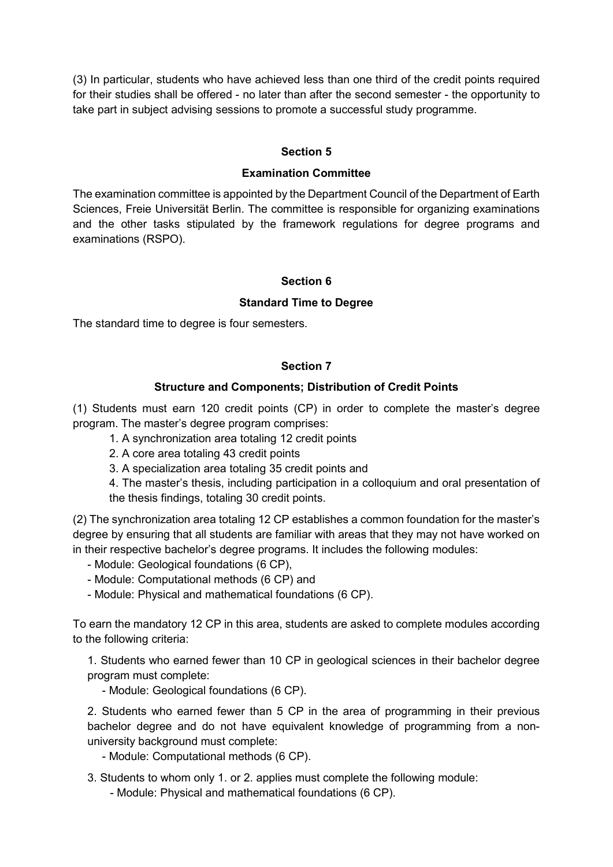(3) In particular, students who have achieved less than one third of the credit points required for their studies shall be offered - no later than after the second semester - the opportunity to take part in subject advising sessions to promote a successful study programme.

### **Section 5**

#### **Examination Committee**

The examination committee is appointed by the Department Council of the Department of Earth Sciences, Freie Universität Berlin. The committee is responsible for organizing examinations and the other tasks stipulated by the framework regulations for degree programs and examinations (RSPO).

### **Section 6**

#### **Standard Time to Degree**

The standard time to degree is four semesters.

### **Section 7**

### **Structure and Components; Distribution of Credit Points**

(1) Students must earn 120 credit points (CP) in order to complete the master's degree program. The master's degree program comprises:

1. A synchronization area totaling 12 credit points

2. A core area totaling 43 credit points

3. A specialization area totaling 35 credit points and

4. The master's thesis, including participation in a colloquium and oral presentation of the thesis findings, totaling 30 credit points.

(2) The synchronization area totaling 12 CP establishes a common foundation for the master's degree by ensuring that all students are familiar with areas that they may not have worked on in their respective bachelor's degree programs. It includes the following modules:

- Module: Geological foundations (6 CP),

- Module: Computational methods (6 CP) and

- Module: Physical and mathematical foundations (6 CP).

To earn the mandatory 12 CP in this area, students are asked to complete modules according to the following criteria:

1. Students who earned fewer than 10 CP in geological sciences in their bachelor degree program must complete:

- Module: Geological foundations (6 CP).

2. Students who earned fewer than 5 CP in the area of programming in their previous bachelor degree and do not have equivalent knowledge of programming from a nonuniversity background must complete:

- Module: Computational methods (6 CP).

3. Students to whom only 1. or 2. applies must complete the following module:

- Module: Physical and mathematical foundations (6 CP).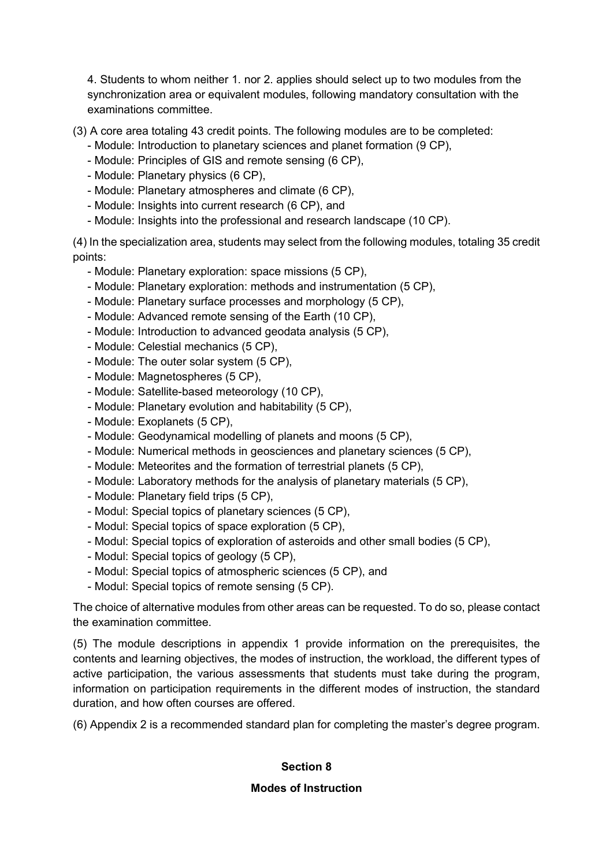4. Students to whom neither 1. nor 2. applies should select up to two modules from the synchronization area or equivalent modules, following mandatory consultation with the examinations committee.

(3) A core area totaling 43 credit points. The following modules are to be completed:

- Module: Introduction to planetary sciences and planet formation (9 CP),
- Module: Principles of GIS and remote sensing (6 CP),
- Module: Planetary physics (6 CP),
- Module: Planetary atmospheres and climate (6 CP),
- Module: Insights into current research (6 CP), and
- Module: Insights into the professional and research landscape (10 CP).

(4) In the specialization area, students may select from the following modules, totaling 35 credit points:

- Module: Planetary exploration: space missions (5 CP),
- Module: Planetary exploration: methods and instrumentation (5 CP),
- Module: Planetary surface processes and morphology (5 CP),
- Module: Advanced remote sensing of the Earth (10 CP),
- Module: Introduction to advanced geodata analysis (5 CP),
- Module: Celestial mechanics (5 CP),
- Module: The outer solar system (5 CP),
- Module: Magnetospheres (5 CP),
- Module: Satellite-based meteorology (10 CP),
- Module: Planetary evolution and habitability (5 CP),
- Module: Exoplanets (5 CP),
- Module: Geodynamical modelling of planets and moons (5 CP),
- Module: Numerical methods in geosciences and planetary sciences (5 CP),
- Module: Meteorites and the formation of terrestrial planets (5 CP),
- Module: Laboratory methods for the analysis of planetary materials (5 CP),
- Module: Planetary field trips (5 CP),
- Modul: Special topics of planetary sciences (5 CP),
- Modul: Special topics of space exploration (5 CP),
- Modul: Special topics of exploration of asteroids and other small bodies (5 CP),
- Modul: Special topics of geology (5 CP),
- Modul: Special topics of atmospheric sciences (5 CP), and
- Modul: Special topics of remote sensing (5 CP).

The choice of alternative modules from other areas can be requested. To do so, please contact the examination committee.

(5) The module descriptions in appendix 1 provide information on the prerequisites, the contents and learning objectives, the modes of instruction, the workload, the different types of active participation, the various assessments that students must take during the program, information on participation requirements in the different modes of instruction, the standard duration, and how often courses are offered.

(6) Appendix 2 is a recommended standard plan for completing the master's degree program.

## **Section 8**

### **Modes of Instruction**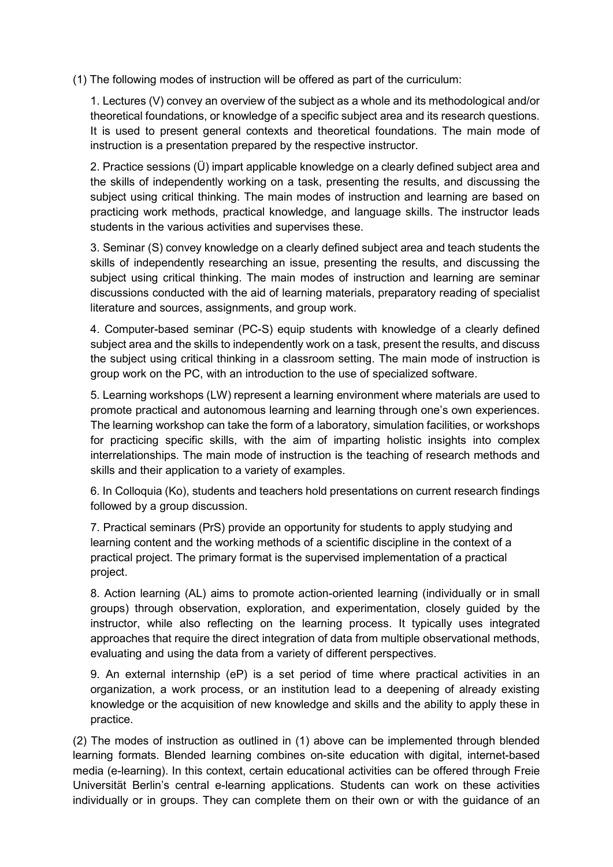(1) The following modes of instruction will be offered as part of the curriculum:

1. Lectures (V) convey an overview of the subject as a whole and its methodological and/or theoretical foundations, or knowledge of a specific subject area and its research questions. It is used to present general contexts and theoretical foundations. The main mode of instruction is a presentation prepared by the respective instructor.

2. Practice sessions (Ü) impart applicable knowledge on a clearly defined subject area and the skills of independently working on a task, presenting the results, and discussing the subject using critical thinking. The main modes of instruction and learning are based on practicing work methods, practical knowledge, and language skills. The instructor leads students in the various activities and supervises these.

3. Seminar (S) convey knowledge on a clearly defined subject area and teach students the skills of independently researching an issue, presenting the results, and discussing the subject using critical thinking. The main modes of instruction and learning are seminar discussions conducted with the aid of learning materials, preparatory reading of specialist literature and sources, assignments, and group work.

4. Computer-based seminar (PC-S) equip students with knowledge of a clearly defined subject area and the skills to independently work on a task, present the results, and discuss the subject using critical thinking in a classroom setting. The main mode of instruction is group work on the PC, with an introduction to the use of specialized software.

5. Learning workshops (LW) represent a learning environment where materials are used to promote practical and autonomous learning and learning through one's own experiences. The learning workshop can take the form of a laboratory, simulation facilities, or workshops for practicing specific skills, with the aim of imparting holistic insights into complex interrelationships. The main mode of instruction is the teaching of research methods and skills and their application to a variety of examples.

6. In Colloquia (Ko), students and teachers hold presentations on current research findings followed by a group discussion.

7. Practical seminars (PrS) provide an opportunity for students to apply studying and learning content and the working methods of a scientific discipline in the context of a practical project. The primary format is the supervised implementation of a practical project.

8. Action learning (AL) aims to promote action-oriented learning (individually or in small groups) through observation, exploration, and experimentation, closely guided by the instructor, while also reflecting on the learning process. It typically uses integrated approaches that require the direct integration of data from multiple observational methods, evaluating and using the data from a variety of different perspectives.

9. An external internship (eP) is a set period of time where practical activities in an organization, a work process, or an institution lead to a deepening of already existing knowledge or the acquisition of new knowledge and skills and the ability to apply these in practice.

(2) The modes of instruction as outlined in (1) above can be implemented through blended learning formats. Blended learning combines on-site education with digital, internet-based media (e-learning). In this context, certain educational activities can be offered through Freie Universität Berlin's central e-learning applications. Students can work on these activities individually or in groups. They can complete them on their own or with the guidance of an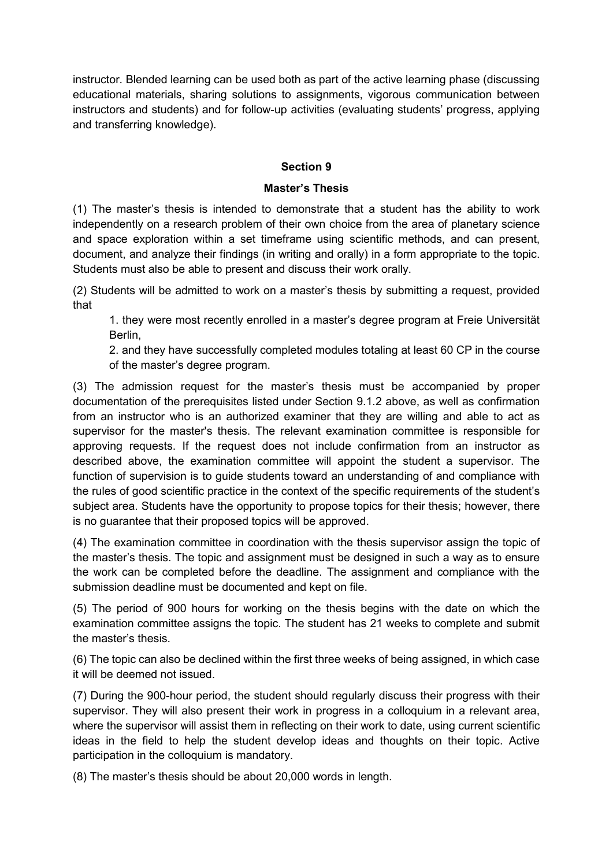instructor. Blended learning can be used both as part of the active learning phase (discussing educational materials, sharing solutions to assignments, vigorous communication between instructors and students) and for follow-up activities (evaluating students' progress, applying and transferring knowledge).

### **Section 9**

#### **Master's Thesis**

(1) The master's thesis is intended to demonstrate that a student has the ability to work independently on a research problem of their own choice from the area of planetary science and space exploration within a set timeframe using scientific methods, and can present, document, and analyze their findings (in writing and orally) in a form appropriate to the topic. Students must also be able to present and discuss their work orally.

(2) Students will be admitted to work on a master's thesis by submitting a request, provided that

1. they were most recently enrolled in a master's degree program at Freie Universität Berlin,

2. and they have successfully completed modules totaling at least 60 CP in the course of the master's degree program.

(3) The admission request for the master's thesis must be accompanied by proper documentation of the prerequisites listed under Section 9.1.2 above, as well as confirmation from an instructor who is an authorized examiner that they are willing and able to act as supervisor for the master's thesis. The relevant examination committee is responsible for approving requests. If the request does not include confirmation from an instructor as described above, the examination committee will appoint the student a supervisor. The function of supervision is to guide students toward an understanding of and compliance with the rules of good scientific practice in the context of the specific requirements of the student's subject area. Students have the opportunity to propose topics for their thesis; however, there is no guarantee that their proposed topics will be approved.

(4) The examination committee in coordination with the thesis supervisor assign the topic of the master's thesis. The topic and assignment must be designed in such a way as to ensure the work can be completed before the deadline. The assignment and compliance with the submission deadline must be documented and kept on file.

(5) The period of 900 hours for working on the thesis begins with the date on which the examination committee assigns the topic. The student has 21 weeks to complete and submit the master's thesis.

(6) The topic can also be declined within the first three weeks of being assigned, in which case it will be deemed not issued.

(7) During the 900-hour period, the student should regularly discuss their progress with their supervisor. They will also present their work in progress in a colloquium in a relevant area, where the supervisor will assist them in reflecting on their work to date, using current scientific ideas in the field to help the student develop ideas and thoughts on their topic. Active participation in the colloquium is mandatory.

(8) The master's thesis should be about 20,000 words in length.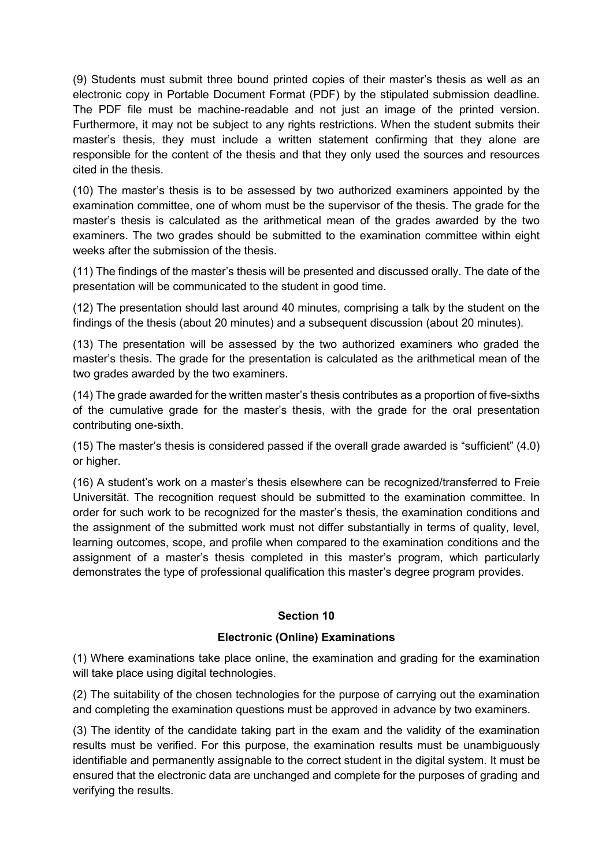(9) Students must submit three bound printed copies of their master's thesis as well as an electronic copy in Portable Document Format (PDF) by the stipulated submission deadline. The PDF file must be machine-readable and not just an image of the printed version. Furthermore, it may not be subject to any rights restrictions. When the student submits their master's thesis, they must include a written statement confirming that they alone are responsible for the content of the thesis and that they only used the sources and resources cited in the thesis.

(10) The master's thesis is to be assessed by two authorized examiners appointed by the examination committee, one of whom must be the supervisor of the thesis. The grade for the master's thesis is calculated as the arithmetical mean of the grades awarded by the two examiners. The two grades should be submitted to the examination committee within eight weeks after the submission of the thesis.

(11) The findings of the master's thesis will be presented and discussed orally. The date of the presentation will be communicated to the student in good time.

(12) The presentation should last around 40 minutes, comprising a talk by the student on the findings of the thesis (about 20 minutes) and a subsequent discussion (about 20 minutes).

(13) The presentation will be assessed by the two authorized examiners who graded the master's thesis. The grade for the presentation is calculated as the arithmetical mean of the two grades awarded by the two examiners.

(14) The grade awarded for the written master's thesis contributes as a proportion of five-sixths of the cumulative grade for the master's thesis, with the grade for the oral presentation contributing one-sixth.

(15) The master's thesis is considered passed if the overall grade awarded is "sufficient" (4.0) or higher.

(16) A student's work on a master's thesis elsewhere can be recognized/transferred to Freie Universität. The recognition request should be submitted to the examination committee. In order for such work to be recognized for the master's thesis, the examination conditions and the assignment of the submitted work must not differ substantially in terms of quality, level, learning outcomes, scope, and profile when compared to the examination conditions and the assignment of a master's thesis completed in this master's program, which particularly demonstrates the type of professional qualification this master's degree program provides.

#### **Section 10**

#### **Electronic (Online) Examinations**

(1) Where examinations take place online, the examination and grading for the examination will take place using digital technologies.

(2) The suitability of the chosen technologies for the purpose of carrying out the examination and completing the examination questions must be approved in advance by two examiners.

(3) The identity of the candidate taking part in the exam and the validity of the examination results must be verified. For this purpose, the examination results must be unambiguously identifiable and permanently assignable to the correct student in the digital system. It must be ensured that the electronic data are unchanged and complete for the purposes of grading and verifying the results.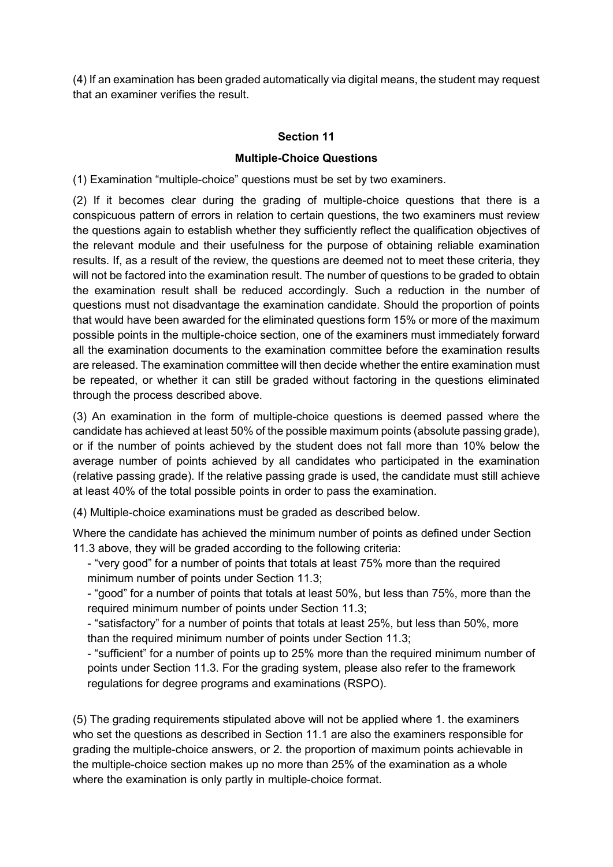(4) If an examination has been graded automatically via digital means, the student may request that an examiner verifies the result.

## **Section 11**

### **Multiple-Choice Questions**

(1) Examination "multiple-choice" questions must be set by two examiners.

(2) If it becomes clear during the grading of multiple-choice questions that there is a conspicuous pattern of errors in relation to certain questions, the two examiners must review the questions again to establish whether they sufficiently reflect the qualification objectives of the relevant module and their usefulness for the purpose of obtaining reliable examination results. If, as a result of the review, the questions are deemed not to meet these criteria, they will not be factored into the examination result. The number of questions to be graded to obtain the examination result shall be reduced accordingly. Such a reduction in the number of questions must not disadvantage the examination candidate. Should the proportion of points that would have been awarded for the eliminated questions form 15% or more of the maximum possible points in the multiple-choice section, one of the examiners must immediately forward all the examination documents to the examination committee before the examination results are released. The examination committee will then decide whether the entire examination must be repeated, or whether it can still be graded without factoring in the questions eliminated through the process described above.

(3) An examination in the form of multiple-choice questions is deemed passed where the candidate has achieved at least 50% of the possible maximum points (absolute passing grade), or if the number of points achieved by the student does not fall more than 10% below the average number of points achieved by all candidates who participated in the examination (relative passing grade). If the relative passing grade is used, the candidate must still achieve at least 40% of the total possible points in order to pass the examination.

(4) Multiple-choice examinations must be graded as described below.

Where the candidate has achieved the minimum number of points as defined under Section 11.3 above, they will be graded according to the following criteria:

- "very good" for a number of points that totals at least 75% more than the required minimum number of points under Section 11.3;

- "good" for a number of points that totals at least 50%, but less than 75%, more than the required minimum number of points under Section 11.3;

- "satisfactory" for a number of points that totals at least 25%, but less than 50%, more than the required minimum number of points under Section 11.3;

- "sufficient" for a number of points up to 25% more than the required minimum number of points under Section 11.3. For the grading system, please also refer to the framework regulations for degree programs and examinations (RSPO).

(5) The grading requirements stipulated above will not be applied where 1. the examiners who set the questions as described in Section 11.1 are also the examiners responsible for grading the multiple-choice answers, or 2. the proportion of maximum points achievable in the multiple-choice section makes up no more than 25% of the examination as a whole where the examination is only partly in multiple-choice format.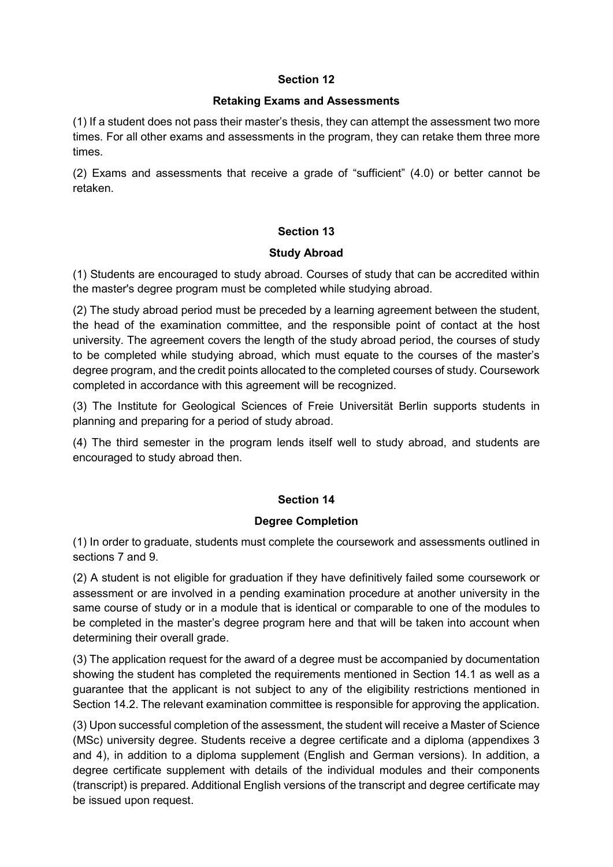### **Section 12**

#### **Retaking Exams and Assessments**

(1) If a student does not pass their master's thesis, they can attempt the assessment two more times. For all other exams and assessments in the program, they can retake them three more times.

(2) Exams and assessments that receive a grade of "sufficient" (4.0) or better cannot be retaken.

### **Section 13**

### **Study Abroad**

(1) Students are encouraged to study abroad. Courses of study that can be accredited within the master's degree program must be completed while studying abroad.

(2) The study abroad period must be preceded by a learning agreement between the student, the head of the examination committee, and the responsible point of contact at the host university. The agreement covers the length of the study abroad period, the courses of study to be completed while studying abroad, which must equate to the courses of the master's degree program, and the credit points allocated to the completed courses of study. Coursework completed in accordance with this agreement will be recognized.

(3) The Institute for Geological Sciences of Freie Universität Berlin supports students in planning and preparing for a period of study abroad.

(4) The third semester in the program lends itself well to study abroad, and students are encouraged to study abroad then.

### **Section 14**

#### **Degree Completion**

(1) In order to graduate, students must complete the coursework and assessments outlined in sections 7 and 9.

(2) A student is not eligible for graduation if they have definitively failed some coursework or assessment or are involved in a pending examination procedure at another university in the same course of study or in a module that is identical or comparable to one of the modules to be completed in the master's degree program here and that will be taken into account when determining their overall grade.

(3) The application request for the award of a degree must be accompanied by documentation showing the student has completed the requirements mentioned in Section 14.1 as well as a guarantee that the applicant is not subject to any of the eligibility restrictions mentioned in Section 14.2. The relevant examination committee is responsible for approving the application.

(3) Upon successful completion of the assessment, the student will receive a Master of Science (MSc) university degree. Students receive a degree certificate and a diploma (appendixes 3 and 4), in addition to a diploma supplement (English and German versions). In addition, a degree certificate supplement with details of the individual modules and their components (transcript) is prepared. Additional English versions of the transcript and degree certificate may be issued upon request.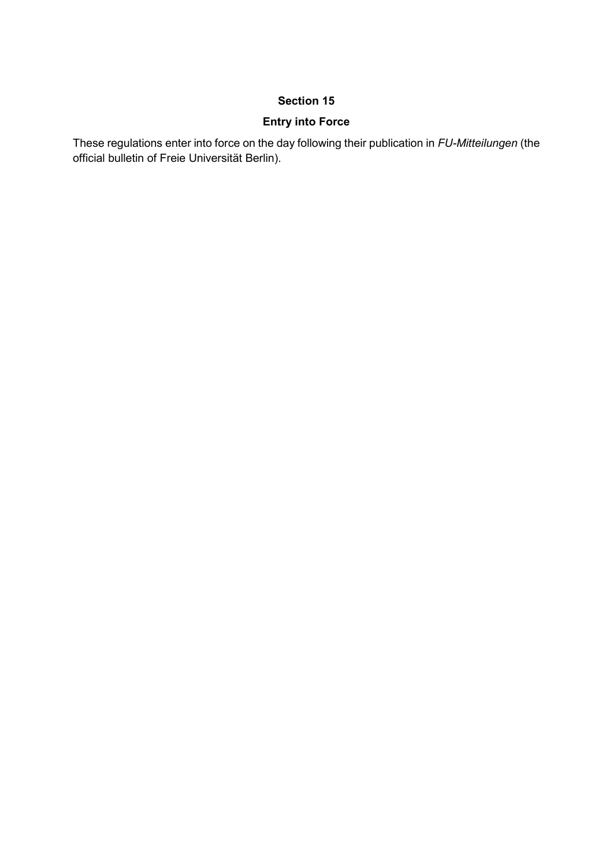## **Section 15**

# **Entry into Force**

These regulations enter into force on the day following their publication in *FU-Mitteilungen* (the official bulletin of Freie Universität Berlin).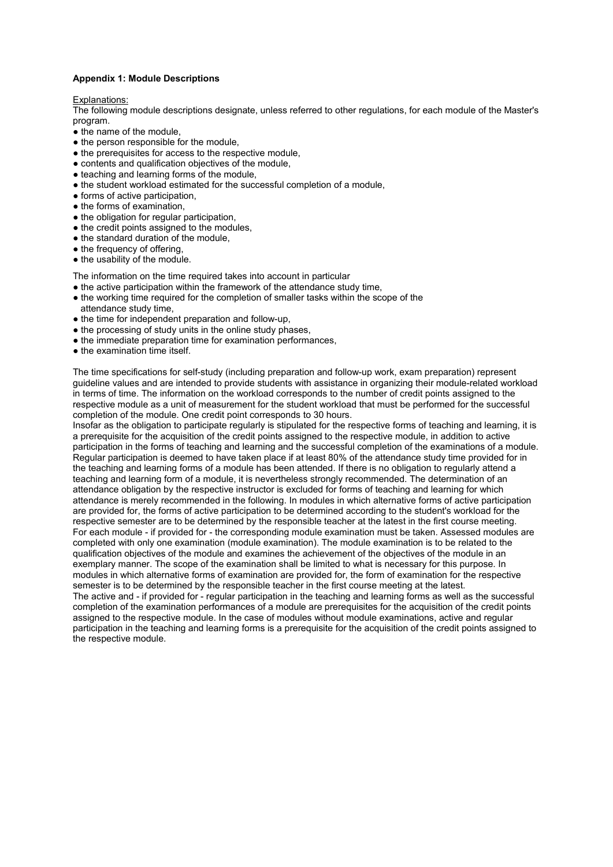#### **Appendix 1: Module Descriptions**

#### Explanations:

The following module descriptions designate, unless referred to other regulations, for each module of the Master's program.

- the name of the module.
- the person responsible for the module.
- the prerequisites for access to the respective module,
- contents and qualification objectives of the module,
- teaching and learning forms of the module,
- the student workload estimated for the successful completion of a module,
- forms of active participation,
- $\bullet$  the forms of examination.
- the obligation for regular participation,
- the credit points assigned to the modules,
- the standard duration of the module,
- the frequency of offering,
- the usability of the module.

The information on the time required takes into account in particular

- the active participation within the framework of the attendance study time,
- the working time required for the completion of smaller tasks within the scope of the attendance study time,
- the time for independent preparation and follow-up.
- the processing of study units in the online study phases.
- the immediate preparation time for examination performances,
- the examination time itself.

The time specifications for self-study (including preparation and follow-up work, exam preparation) represent guideline values and are intended to provide students with assistance in organizing their module-related workload in terms of time. The information on the workload corresponds to the number of credit points assigned to the respective module as a unit of measurement for the student workload that must be performed for the successful completion of the module. One credit point corresponds to 30 hours.

Insofar as the obligation to participate regularly is stipulated for the respective forms of teaching and learning, it is a prerequisite for the acquisition of the credit points assigned to the respective module, in addition to active participation in the forms of teaching and learning and the successful completion of the examinations of a module. Regular participation is deemed to have taken place if at least 80% of the attendance study time provided for in the teaching and learning forms of a module has been attended. If there is no obligation to regularly attend a teaching and learning form of a module, it is nevertheless strongly recommended. The determination of an attendance obligation by the respective instructor is excluded for forms of teaching and learning for which attendance is merely recommended in the following. In modules in which alternative forms of active participation are provided for, the forms of active participation to be determined according to the student's workload for the respective semester are to be determined by the responsible teacher at the latest in the first course meeting. For each module - if provided for - the corresponding module examination must be taken. Assessed modules are completed with only one examination (module examination). The module examination is to be related to the qualification objectives of the module and examines the achievement of the objectives of the module in an exemplary manner. The scope of the examination shall be limited to what is necessary for this purpose. In modules in which alternative forms of examination are provided for, the form of examination for the respective semester is to be determined by the responsible teacher in the first course meeting at the latest. The active and - if provided for - regular participation in the teaching and learning forms as well as the successful completion of the examination performances of a module are prerequisites for the acquisition of the credit points assigned to the respective module. In the case of modules without module examinations, active and regular participation in the teaching and learning forms is a prerequisite for the acquisition of the credit points assigned to the respective module.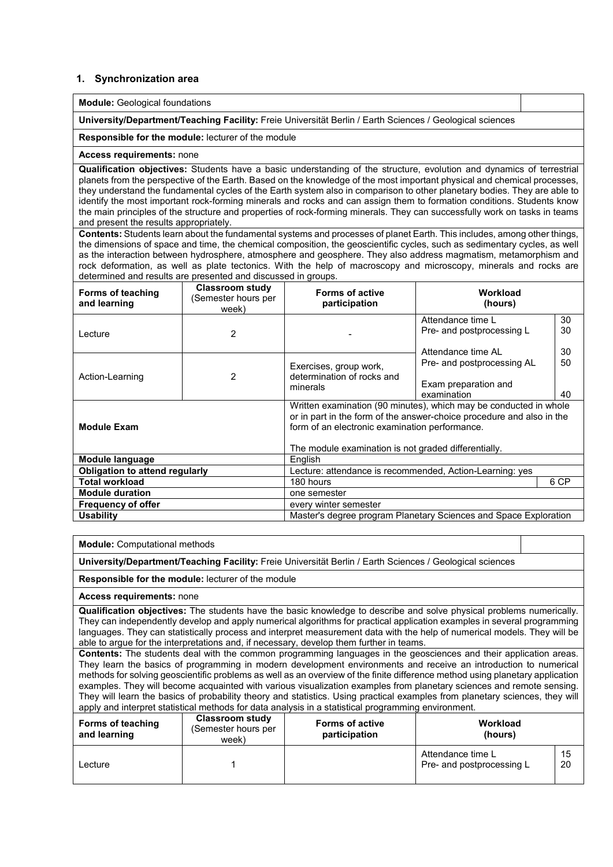#### **1. Synchronization area**

**Module:** Geological foundations

**University/Department/Teaching Facility:** Freie Universität Berlin / Earth Sciences / Geological sciences

**Responsible for the module:** lecturer of the module

#### **Access requirements:** none

**Qualification objectives:** Students have a basic understanding of the structure, evolution and dynamics of terrestrial planets from the perspective of the Earth. Based on the knowledge of the most important physical and chemical processes, they understand the fundamental cycles of the Earth system also in comparison to other planetary bodies. They are able to identify the most important rock-forming minerals and rocks and can assign them to formation conditions. Students know the main principles of the structure and properties of rock-forming minerals. They can successfully work on tasks in teams and present the results appropriately.

**Contents:** Students learn about the fundamental systems and processes of planet Earth. This includes, among other things, the dimensions of space and time, the chemical composition, the geoscientific cycles, such as sedimentary cycles, as well as the interaction between hydrosphere, atmosphere and geosphere. They also address magmatism, metamorphism and rock deformation, as well as plate tectonics. With the help of macroscopy and microscopy, minerals and rocks are determined and results are presented and discussed in groups.

| Forms of teaching<br>and learning                  | <b>Classroom study</b><br>(Semester hours per<br>week) | <b>Forms of active</b><br>participation                                                                                 | Workload<br>(hours)                                               |    |
|----------------------------------------------------|--------------------------------------------------------|-------------------------------------------------------------------------------------------------------------------------|-------------------------------------------------------------------|----|
|                                                    |                                                        |                                                                                                                         | Attendance time L                                                 | 30 |
| Lecture                                            | 2                                                      |                                                                                                                         | Pre- and postprocessing L                                         | 30 |
|                                                    |                                                        |                                                                                                                         | Attendance time AL                                                | 30 |
|                                                    |                                                        | Exercises, group work,                                                                                                  | Pre- and postprocessing AL                                        | 50 |
| Action-Learning                                    | 2                                                      | determination of rocks and                                                                                              |                                                                   |    |
|                                                    |                                                        | minerals                                                                                                                | Exam preparation and                                              |    |
|                                                    |                                                        |                                                                                                                         | examination                                                       | 40 |
|                                                    |                                                        |                                                                                                                         | Written examination (90 minutes), which may be conducted in whole |    |
|                                                    |                                                        | or in part in the form of the answer-choice procedure and also in the<br>form of an electronic examination performance. |                                                                   |    |
| <b>Module Exam</b>                                 |                                                        |                                                                                                                         |                                                                   |    |
|                                                    |                                                        | The module examination is not graded differentially.                                                                    |                                                                   |    |
| Module language                                    |                                                        | English                                                                                                                 |                                                                   |    |
| <b>Obligation to attend regularly</b>              |                                                        | Lecture: attendance is recommended, Action-Learning: yes                                                                |                                                                   |    |
| <b>Total workload</b>                              |                                                        | 6 CP<br>180 hours                                                                                                       |                                                                   |    |
| <b>Module duration</b>                             | one semester                                           |                                                                                                                         |                                                                   |    |
| <b>Frequency of offer</b><br>every winter semester |                                                        |                                                                                                                         |                                                                   |    |
| <b>Usability</b>                                   |                                                        |                                                                                                                         | Master's degree program Planetary Sciences and Space Exploration  |    |

**Module:** Computational methods

**University/Department/Teaching Facility:** Freie Universität Berlin / Earth Sciences / Geological sciences

**Responsible for the module:** lecturer of the module

**Access requirements:** none

**Qualification objectives:** The students have the basic knowledge to describe and solve physical problems numerically. They can independently develop and apply numerical algorithms for practical application examples in several programming languages. They can statistically process and interpret measurement data with the help of numerical models. They will be able to argue for the interpretations and, if necessary, develop them further in teams.

**Contents:** The students deal with the common programming languages in the geosciences and their application areas. They learn the basics of programming in modern development environments and receive an introduction to numerical methods for solving geoscientific problems as well as an overview of the finite difference method using planetary application examples. They will become acquainted with various visualization examples from planetary sciences and remote sensing. They will learn the basics of probability theory and statistics. Using practical examples from planetary sciences, they will apply and interpret statistical methods for data analysis in a statistical programming environment.

| Forms of teaching<br>and learning | Classroom study<br>(Semester hours per<br>week) | <b>Forms of active</b><br>participation | Workload<br>(hours)                            |          |
|-----------------------------------|-------------------------------------------------|-----------------------------------------|------------------------------------------------|----------|
| ∟ecture                           |                                                 |                                         | Attendance time L<br>Pre- and postprocessing L | 15<br>20 |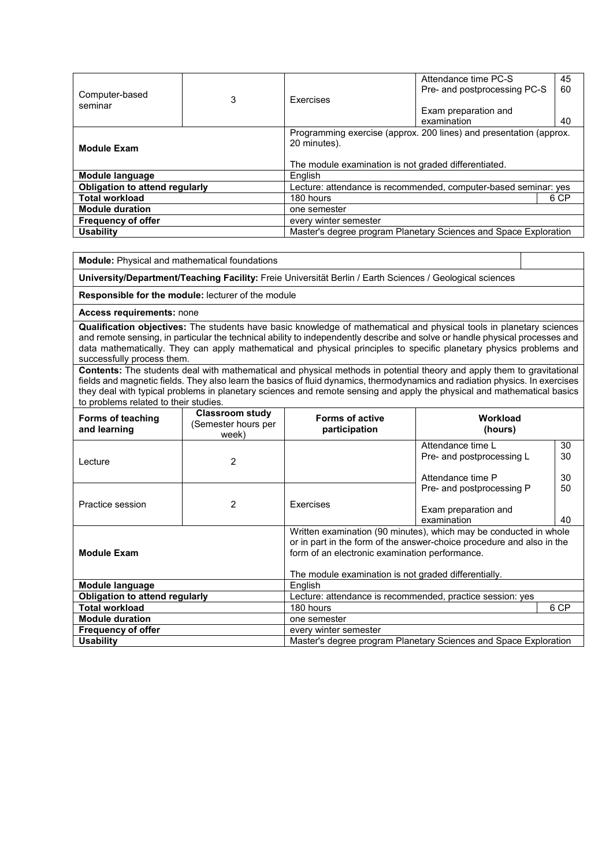| Computer-based<br>seminar                                                            | 3 | <b>Exercises</b>                                                                                                                           | Attendance time PC-S<br>Pre- and postprocessing PC-S            | 45<br>60 |
|--------------------------------------------------------------------------------------|---|--------------------------------------------------------------------------------------------------------------------------------------------|-----------------------------------------------------------------|----------|
|                                                                                      |   |                                                                                                                                            | Exam preparation and                                            |          |
|                                                                                      |   |                                                                                                                                            | examination                                                     | 40       |
| <b>Module Exam</b>                                                                   |   | Programming exercise (approx. 200 lines) and presentation (approx.<br>20 minutes).<br>The module examination is not graded differentiated. |                                                                 |          |
| Module language                                                                      |   | <b>English</b>                                                                                                                             |                                                                 |          |
| <b>Obligation to attend regularly</b>                                                |   |                                                                                                                                            | Lecture: attendance is recommended, computer-based seminar: yes |          |
| <b>Total workload</b>                                                                |   | 180 hours<br>6 CP                                                                                                                          |                                                                 |          |
| <b>Module duration</b>                                                               |   | one semester                                                                                                                               |                                                                 |          |
| <b>Frequency of offer</b><br>every winter semester                                   |   |                                                                                                                                            |                                                                 |          |
| Master's degree program Planetary Sciences and Space Exploration<br><b>Usability</b> |   |                                                                                                                                            |                                                                 |          |

**Module:** Physical and mathematical foundations

**University/Department/Teaching Facility:** Freie Universität Berlin / Earth Sciences / Geological sciences

**Responsible for the module:** lecturer of the module

**Access requirements:** none

**Qualification objectives:** The students have basic knowledge of mathematical and physical tools in planetary sciences and remote sensing, in particular the technical ability to independently describe and solve or handle physical processes and data mathematically. They can apply mathematical and physical principles to specific planetary physics problems and successfully process them.

**Contents:** The students deal with mathematical and physical methods in potential theory and apply them to gravitational fields and magnetic fields. They also learn the basics of fluid dynamics, thermodynamics and radiation physics. In exercises they deal with typical problems in planetary sciences and remote sensing and apply the physical and mathematical basics to problems related to their studies.

| Forms of teaching<br>and learning                  | Classroom study<br>(Semester hours per<br>week) | <b>Forms of active</b><br>participation                   | Workload<br>(hours)                                                                                                                        |    |
|----------------------------------------------------|-------------------------------------------------|-----------------------------------------------------------|--------------------------------------------------------------------------------------------------------------------------------------------|----|
|                                                    |                                                 |                                                           | Attendance time L                                                                                                                          | 30 |
| Lecture                                            | $\overline{2}$                                  |                                                           | Pre- and postprocessing L                                                                                                                  | 30 |
|                                                    |                                                 |                                                           | Attendance time P                                                                                                                          | 30 |
|                                                    |                                                 |                                                           | Pre- and postprocessing P                                                                                                                  | 50 |
| Practice session                                   | $\overline{2}$                                  | Exercises                                                 |                                                                                                                                            |    |
|                                                    |                                                 |                                                           | Exam preparation and<br>examination                                                                                                        | 40 |
| <b>Module Exam</b>                                 |                                                 | form of an electronic examination performance.            | Written examination (90 minutes), which may be conducted in whole<br>or in part in the form of the answer-choice procedure and also in the |    |
|                                                    |                                                 | The module examination is not graded differentially.      |                                                                                                                                            |    |
| Module language                                    |                                                 | <b>English</b>                                            |                                                                                                                                            |    |
| <b>Obligation to attend regularly</b>              |                                                 | Lecture: attendance is recommended, practice session: yes |                                                                                                                                            |    |
| <b>Total workload</b>                              |                                                 | 180 hours<br>6 CP                                         |                                                                                                                                            |    |
| <b>Module duration</b>                             | one semester                                    |                                                           |                                                                                                                                            |    |
| <b>Frequency of offer</b><br>every winter semester |                                                 |                                                           |                                                                                                                                            |    |
| <b>Usability</b>                                   |                                                 |                                                           | Master's degree program Planetary Sciences and Space Exploration                                                                           |    |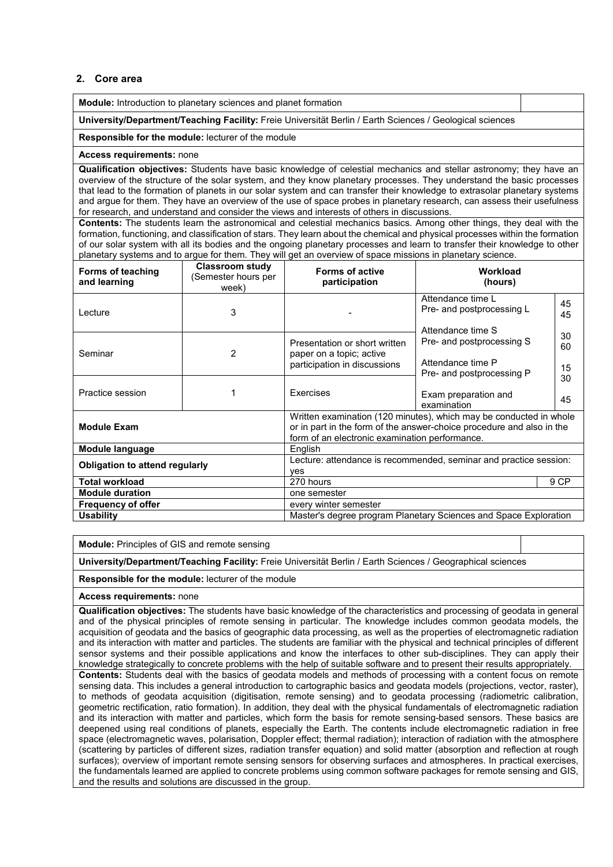#### **2. Core area**

**Module:** Introduction to planetary sciences and planet formation

**University/Department/Teaching Facility:** Freie Universität Berlin / Earth Sciences / Geological sciences

#### **Responsible for the module:** lecturer of the module

#### **Access requirements:** none

**Qualification objectives:** Students have basic knowledge of celestial mechanics and stellar astronomy; they have an overview of the structure of the solar system, and they know planetary processes. They understand the basic processes that lead to the formation of planets in our solar system and can transfer their knowledge to extrasolar planetary systems and argue for them. They have an overview of the use of space probes in planetary research, can assess their usefulness for research, and understand and consider the views and interests of others in discussions.

**Contents:** The students learn the astronomical and celestial mechanics basics. Among other things, they deal with the formation, functioning, and classification of stars. They learn about the chemical and physical processes within the formation of our solar system with all its bodies and the ongoing planetary processes and learn to transfer their knowledge to other planetary systems and to argue for them. They will get an overview of space missions in planetary science.

| Forms of teaching<br>and learning     | <b>Classroom study</b><br>(Semester hours per<br>week) | <b>Forms of active</b><br>participation                                                                                                                                                       | Workload<br>(hours)                                                                              |                |  |
|---------------------------------------|--------------------------------------------------------|-----------------------------------------------------------------------------------------------------------------------------------------------------------------------------------------------|--------------------------------------------------------------------------------------------------|----------------|--|
| I ecture                              | 3                                                      |                                                                                                                                                                                               | Attendance time L<br>Pre- and postprocessing L                                                   | 45<br>45       |  |
| Seminar                               | 2                                                      | Presentation or short written<br>paper on a topic; active<br>participation in discussions                                                                                                     | Attendance time S<br>Pre- and postprocessing S<br>Attendance time P<br>Pre- and postprocessing P | 30<br>60<br>15 |  |
| Practice session                      |                                                        | Exercises                                                                                                                                                                                     | Exam preparation and<br>examination                                                              | 30<br>45       |  |
| <b>Module Exam</b>                    |                                                        | Written examination (120 minutes), which may be conducted in whole<br>or in part in the form of the answer-choice procedure and also in the<br>form of an electronic examination performance. |                                                                                                  |                |  |
| Module language                       |                                                        | English                                                                                                                                                                                       |                                                                                                  |                |  |
| <b>Obligation to attend regularly</b> |                                                        | Lecture: attendance is recommended, seminar and practice session:<br>ves                                                                                                                      |                                                                                                  |                |  |
| <b>Total workload</b>                 |                                                        | 9 CP<br>270 hours                                                                                                                                                                             |                                                                                                  |                |  |
| <b>Module duration</b>                |                                                        | one semester                                                                                                                                                                                  |                                                                                                  |                |  |
| <b>Frequency of offer</b>             |                                                        | every winter semester                                                                                                                                                                         |                                                                                                  |                |  |
| <b>Usability</b>                      |                                                        | Master's degree program Planetary Sciences and Space Exploration                                                                                                                              |                                                                                                  |                |  |

**Module:** Principles of GIS and remote sensing

**University/Department/Teaching Facility:** Freie Universität Berlin / Earth Sciences / Geographical sciences

**Responsible for the module:** lecturer of the module

**Access requirements:** none

**Qualification objectives:** The students have basic knowledge of the characteristics and processing of geodata in general and of the physical principles of remote sensing in particular. The knowledge includes common geodata models, the acquisition of geodata and the basics of geographic data processing, as well as the properties of electromagnetic radiation and its interaction with matter and particles. The students are familiar with the physical and technical principles of different sensor systems and their possible applications and know the interfaces to other sub-disciplines. They can apply their knowledge strategically to concrete problems with the help of suitable software and to present their results appropriately.

**Contents:** Students deal with the basics of geodata models and methods of processing with a content focus on remote sensing data. This includes a general introduction to cartographic basics and geodata models (projections, vector, raster), to methods of geodata acquisition (digitisation, remote sensing) and to geodata processing (radiometric calibration, geometric rectification, ratio formation). In addition, they deal with the physical fundamentals of electromagnetic radiation and its interaction with matter and particles, which form the basis for remote sensing-based sensors. These basics are deepened using real conditions of planets, especially the Earth. The contents include electromagnetic radiation in free space (electromagnetic waves, polarisation, Doppler effect; thermal radiation); interaction of radiation with the atmosphere (scattering by particles of different sizes, radiation transfer equation) and solid matter (absorption and reflection at rough surfaces); overview of important remote sensing sensors for observing surfaces and atmospheres. In practical exercises, the fundamentals learned are applied to concrete problems using common software packages for remote sensing and GIS, and the results and solutions are discussed in the group.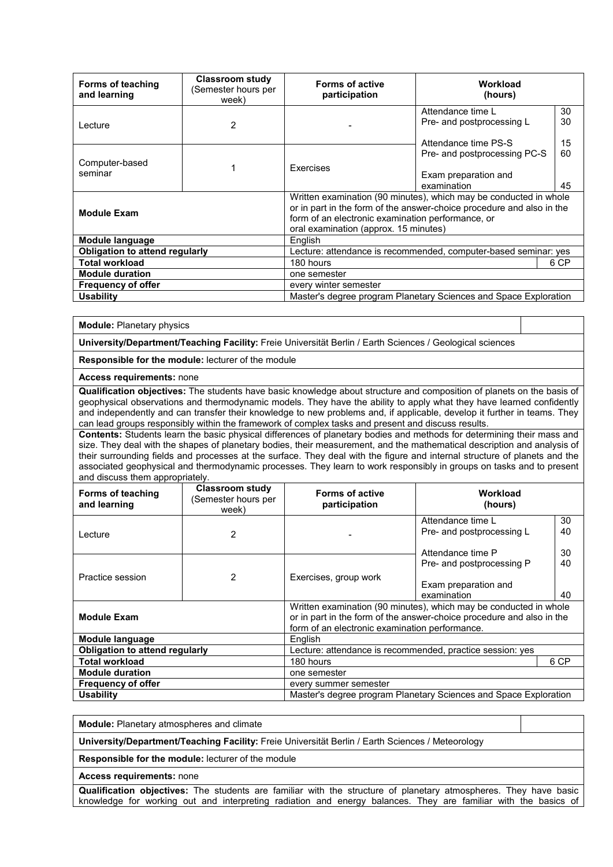| <b>Forms of teaching</b><br>and learning                                                                                                                                                                                                                       | <b>Classroom study</b><br>Semester hours per<br>week) | <b>Forms of active</b><br>participation                         | Workload<br>(hours)                                                    |                |
|----------------------------------------------------------------------------------------------------------------------------------------------------------------------------------------------------------------------------------------------------------------|-------------------------------------------------------|-----------------------------------------------------------------|------------------------------------------------------------------------|----------------|
| Lecture                                                                                                                                                                                                                                                        | 2                                                     |                                                                 | Attendance time L<br>Pre- and postprocessing L<br>Attendance time PS-S | 30<br>30       |
| Computer-based<br>seminar                                                                                                                                                                                                                                      |                                                       | Exercises                                                       | Pre- and postprocessing PC-S<br>Exam preparation and<br>examination    | 15<br>60<br>45 |
| Written examination (90 minutes), which may be conducted in whole<br>or in part in the form of the answer-choice procedure and also in the<br><b>Module Exam</b><br>form of an electronic examination performance, or<br>oral examination (approx. 15 minutes) |                                                       |                                                                 |                                                                        |                |
| Module language                                                                                                                                                                                                                                                |                                                       | English                                                         |                                                                        |                |
| <b>Obligation to attend regularly</b>                                                                                                                                                                                                                          |                                                       | Lecture: attendance is recommended, computer-based seminar: yes |                                                                        |                |
| <b>Total workload</b>                                                                                                                                                                                                                                          |                                                       | 180 hours<br>6 CP                                               |                                                                        |                |
| <b>Module duration</b>                                                                                                                                                                                                                                         | one semester                                          |                                                                 |                                                                        |                |
| <b>Frequency of offer</b><br>every winter semester                                                                                                                                                                                                             |                                                       |                                                                 |                                                                        |                |
| <b>Usability</b>                                                                                                                                                                                                                                               |                                                       |                                                                 | Master's degree program Planetary Sciences and Space Exploration       |                |

**Module:** Planetary physics

**University/Department/Teaching Facility:** Freie Universität Berlin / Earth Sciences / Geological sciences

**Responsible for the module:** lecturer of the module

**Access requirements:** none

**Qualification objectives:** The students have basic knowledge about structure and composition of planets on the basis of geophysical observations and thermodynamic models. They have the ability to apply what they have learned confidently and independently and can transfer their knowledge to new problems and, if applicable, develop it further in teams. They can lead groups responsibly within the framework of complex tasks and present and discuss results.

**Contents:** Students learn the basic physical differences of planetary bodies and methods for determining their mass and size. They deal with the shapes of planetary bodies, their measurement, and the mathematical description and analysis of their surrounding fields and processes at the surface. They deal with the figure and internal structure of planets and the associated geophysical and thermodynamic processes. They learn to work responsibly in groups on tasks and to present and discuss them appropriately.

| Forms of teaching<br>and learning      | <b>Classroom study</b><br>(Semester hours per<br>week) | <b>Forms of active</b><br>participation                                                                                                                                                      | Workload<br>(hours)                            |          |
|----------------------------------------|--------------------------------------------------------|----------------------------------------------------------------------------------------------------------------------------------------------------------------------------------------------|------------------------------------------------|----------|
| Lecture                                | 2                                                      |                                                                                                                                                                                              | Attendance time L<br>Pre- and postprocessing L | 30<br>40 |
|                                        |                                                        |                                                                                                                                                                                              | Attendance time P                              | 30       |
| Practice session                       | $\mathcal{P}$                                          | Exercises, group work                                                                                                                                                                        | Pre- and postprocessing P                      | 40       |
|                                        |                                                        |                                                                                                                                                                                              | Exam preparation and<br>examination            | 40       |
| <b>Module Exam</b>                     |                                                        | Written examination (90 minutes), which may be conducted in whole<br>or in part in the form of the answer-choice procedure and also in the<br>form of an electronic examination performance. |                                                |          |
| Module language                        |                                                        | English                                                                                                                                                                                      |                                                |          |
| Obligation to attend regularly         |                                                        | Lecture: attendance is recommended, practice session: yes                                                                                                                                    |                                                |          |
| <b>Total workload</b>                  |                                                        | 180 hours<br>6 CP                                                                                                                                                                            |                                                |          |
| <b>Module duration</b><br>one semester |                                                        |                                                                                                                                                                                              |                                                |          |
| <b>Frequency of offer</b>              |                                                        | every summer semester                                                                                                                                                                        |                                                |          |
| <b>Usability</b>                       |                                                        | Master's degree program Planetary Sciences and Space Exploration                                                                                                                             |                                                |          |

**Module:** Planetary atmospheres and climate

**University/Department/Teaching Facility:** Freie Universität Berlin / Earth Sciences / Meteorology

**Responsible for the module:** lecturer of the module

**Access requirements:** none

**Qualification objectives:** The students are familiar with the structure of planetary atmospheres. They have basic knowledge for working out and interpreting radiation and energy balances. They are familiar with the basics of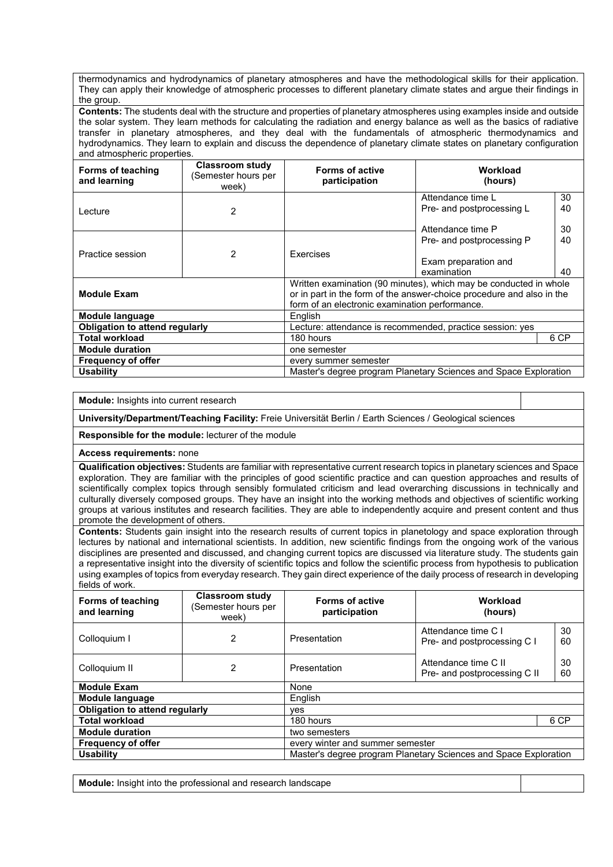thermodynamics and hydrodynamics of planetary atmospheres and have the methodological skills for their application. They can apply their knowledge of atmospheric processes to different planetary climate states and argue their findings in the group.

**Contents:** The students deal with the structure and properties of planetary atmospheres using examples inside and outside the solar system. They learn methods for calculating the radiation and energy balance as well as the basics of radiative transfer in planetary atmospheres, and they deal with the fundamentals of atmospheric thermodynamics and hydrodynamics. They learn to explain and discuss the dependence of planetary climate states on planetary configuration and atmospheric properties.

| Forms of teaching<br>and learning                  | <b>Classroom study</b><br>(Semester hours per<br>week) | <b>Forms of active</b><br>participation                                                                                                                                                      | Workload<br>(hours)                                                 |                |
|----------------------------------------------------|--------------------------------------------------------|----------------------------------------------------------------------------------------------------------------------------------------------------------------------------------------------|---------------------------------------------------------------------|----------------|
| Lecture                                            | 2                                                      |                                                                                                                                                                                              | Attendance time L<br>Pre- and postprocessing L<br>Attendance time P | 30<br>40<br>30 |
| Practice session                                   | 2                                                      | <b>Fxercises</b>                                                                                                                                                                             | Pre- and postprocessing P<br>Exam preparation and<br>examination    | 40<br>40       |
| <b>Module Exam</b>                                 |                                                        | Written examination (90 minutes), which may be conducted in whole<br>or in part in the form of the answer-choice procedure and also in the<br>form of an electronic examination performance. |                                                                     |                |
| <b>Module language</b>                             |                                                        | English                                                                                                                                                                                      |                                                                     |                |
| <b>Obligation to attend regularly</b>              |                                                        | Lecture: attendance is recommended, practice session: yes                                                                                                                                    |                                                                     |                |
| <b>Total workload</b>                              |                                                        | 180 hours<br>6 CP                                                                                                                                                                            |                                                                     |                |
| <b>Module duration</b><br>one semester             |                                                        |                                                                                                                                                                                              |                                                                     |                |
| <b>Frequency of offer</b><br>every summer semester |                                                        |                                                                                                                                                                                              |                                                                     |                |
| <b>Usability</b>                                   |                                                        |                                                                                                                                                                                              | Master's degree program Planetary Sciences and Space Exploration    |                |

**Module:** Insights into current research

**University/Department/Teaching Facility:** Freie Universität Berlin / Earth Sciences / Geological sciences

**Responsible for the module:** lecturer of the module

**Access requirements:** none

**Qualification objectives:** Students are familiar with representative current research topics in planetary sciences and Space exploration. They are familiar with the principles of good scientific practice and can question approaches and results of scientifically complex topics through sensibly formulated criticism and lead overarching discussions in technically and culturally diversely composed groups. They have an insight into the working methods and objectives of scientific working groups at various institutes and research facilities. They are able to independently acquire and present content and thus promote the development of others.

**Contents:** Students gain insight into the research results of current topics in planetology and space exploration through lectures by national and international scientists. In addition, new scientific findings from the ongoing work of the various disciplines are presented and discussed, and changing current topics are discussed via literature study. The students gain a representative insight into the diversity of scientific topics and follow the scientific process from hypothesis to publication using examples of topics from everyday research. They gain direct experience of the daily process of research in developing fields of work.

| Forms of teaching<br>and learning                             | <b>Classroom study</b><br>(Semester hours per<br>week) | <b>Forms of active</b><br>participation | Workload<br>(hours)                                              |          |  |
|---------------------------------------------------------------|--------------------------------------------------------|-----------------------------------------|------------------------------------------------------------------|----------|--|
| Colloquium I                                                  | $\overline{2}$                                         | Presentation                            | Attendance time C I<br>Pre- and postprocessing C I               | 30<br>60 |  |
| Colloquium II                                                 | 2                                                      | Presentation                            | Attendance time C II<br>Pre- and postprocessing C II             | 30<br>60 |  |
| <b>Module Exam</b>                                            |                                                        | None                                    |                                                                  |          |  |
| Module language                                               |                                                        | English                                 |                                                                  |          |  |
| <b>Obligation to attend regularly</b>                         |                                                        | ves                                     |                                                                  |          |  |
| <b>Total workload</b>                                         |                                                        | 180 hours                               |                                                                  | 6 CP     |  |
| <b>Module duration</b>                                        |                                                        | two semesters                           |                                                                  |          |  |
| <b>Frequency of offer</b><br>every winter and summer semester |                                                        |                                         |                                                                  |          |  |
| <b>Usability</b>                                              |                                                        |                                         | Master's degree program Planetary Sciences and Space Exploration |          |  |

**Module:** Insight into the professional and research landscape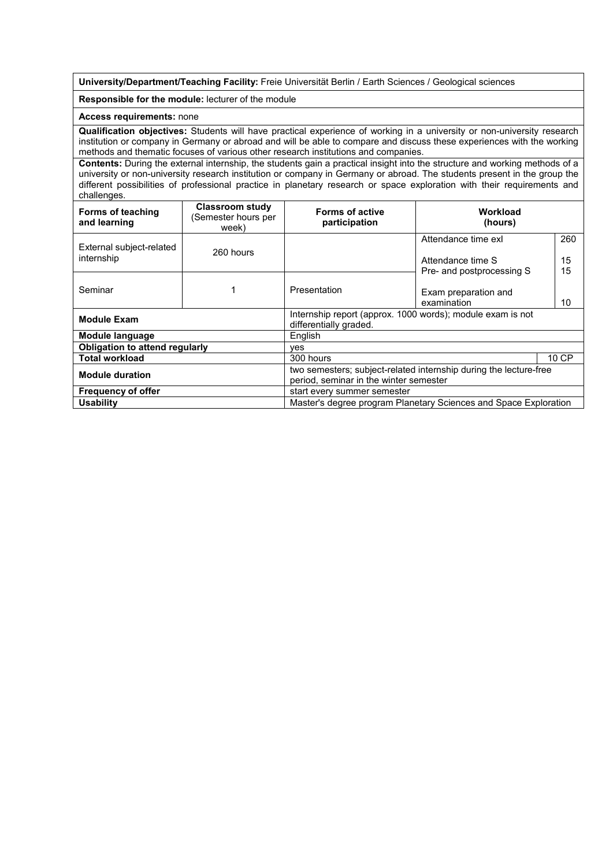**University/Department/Teaching Facility:** Freie Universität Berlin / Earth Sciences / Geological sciences

#### **Responsible for the module:** lecturer of the module

#### **Access requirements:** none

**Qualification objectives:** Students will have practical experience of working in a university or non-university research institution or company in Germany or abroad and will be able to compare and discuss these experiences with the working methods and thematic focuses of various other research institutions and companies.

**Contents:** During the external internship, the students gain a practical insight into the structure and working methods of a university or non-university research institution or company in Germany or abroad. The students present in the group the different possibilities of professional practice in planetary research or space exploration with their requirements and challenges.

| <b>Forms of teaching</b><br>and learning                 | <b>Classroom study</b><br>(Semester hours per<br>week) | <b>Forms of active</b><br>participation                                                                     | Workload<br>(hours)                                                   |                 |
|----------------------------------------------------------|--------------------------------------------------------|-------------------------------------------------------------------------------------------------------------|-----------------------------------------------------------------------|-----------------|
| External subject-related<br>internship                   | 260 hours                                              |                                                                                                             | Attendance time exl<br>Attendance time S<br>Pre- and postprocessing S | 260<br>15<br>15 |
| Seminar                                                  |                                                        | Presentation                                                                                                | Exam preparation and<br>examination                                   | 10              |
| <b>Module Exam</b>                                       |                                                        | Internship report (approx. 1000 words); module exam is not<br>differentially graded.                        |                                                                       |                 |
| <b>Module language</b>                                   |                                                        | English                                                                                                     |                                                                       |                 |
| Obligation to attend regularly                           |                                                        | ves                                                                                                         |                                                                       |                 |
| <b>Total workload</b>                                    |                                                        | 300 hours                                                                                                   |                                                                       | 10 CP           |
| <b>Module duration</b>                                   |                                                        | two semesters; subject-related internship during the lecture-free<br>period, seminar in the winter semester |                                                                       |                 |
| <b>Frequency of offer</b><br>start every summer semester |                                                        |                                                                                                             |                                                                       |                 |
| <b>Usability</b>                                         |                                                        |                                                                                                             | Master's degree program Planetary Sciences and Space Exploration      |                 |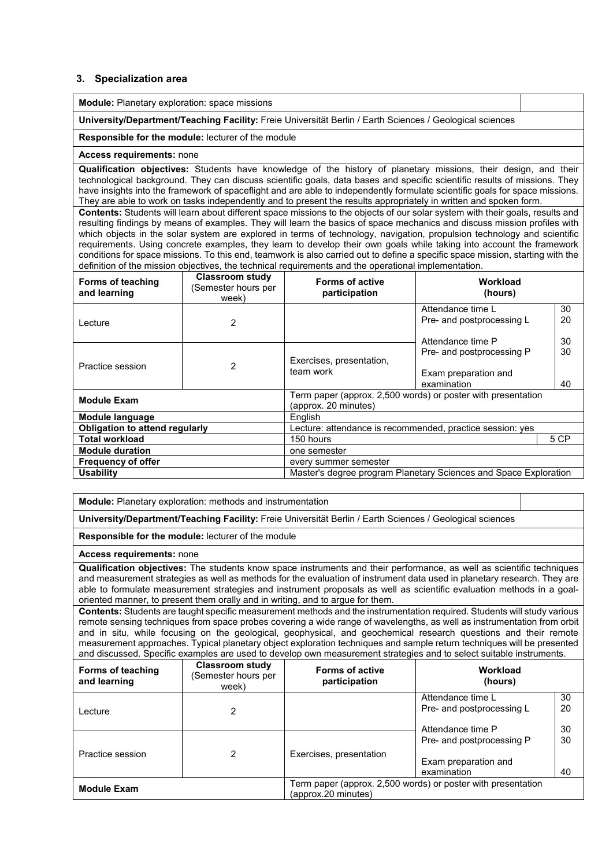#### **3. Specialization area**

**Module:** Planetary exploration: space missions

**University/Department/Teaching Facility:** Freie Universität Berlin / Earth Sciences / Geological sciences

#### **Responsible for the module:** lecturer of the module

#### **Access requirements:** none

**Qualification objectives:** Students have knowledge of the history of planetary missions, their design, and their technological background. They can discuss scientific goals, data bases and specific scientific results of missions. They have insights into the framework of spaceflight and are able to independently formulate scientific goals for space missions. They are able to work on tasks independently and to present the results appropriately in written and spoken form.

**Contents:** Students will learn about different space missions to the objects of our solar system with their goals, results and resulting findings by means of examples. They will learn the basics of space mechanics and discuss mission profiles with which objects in the solar system are explored in terms of technology, navigation, propulsion technology and scientific requirements. Using concrete examples, they learn to develop their own goals while taking into account the framework conditions for space missions. To this end, teamwork is also carried out to define a specific space mission, starting with the definition of the mission objectives, the technical requirements and the operational implementation.

| Forms of teaching<br>and learning                  | <b>Classroom study</b><br>(Semester hours per<br>week) | <b>Forms of active</b><br>participation                                              | Workload<br>(hours)                                                 |                |  |
|----------------------------------------------------|--------------------------------------------------------|--------------------------------------------------------------------------------------|---------------------------------------------------------------------|----------------|--|
| Lecture                                            | 2                                                      |                                                                                      | Attendance time L<br>Pre- and postprocessing L<br>Attendance time P | 30<br>20<br>30 |  |
| Practice session                                   | 2                                                      | Exercises, presentation,<br>team work                                                | Pre- and postprocessing P<br>Exam preparation and<br>examination    | 30<br>40       |  |
| <b>Module Exam</b>                                 |                                                        | Term paper (approx. 2,500 words) or poster with presentation<br>(approx. 20 minutes) |                                                                     |                |  |
| Module language                                    |                                                        | English                                                                              |                                                                     |                |  |
| <b>Obligation to attend regularly</b>              |                                                        | Lecture: attendance is recommended, practice session: yes                            |                                                                     |                |  |
| Total workload                                     |                                                        | 5 CP<br>150 hours                                                                    |                                                                     |                |  |
| <b>Module duration</b><br>one semester             |                                                        |                                                                                      |                                                                     |                |  |
| <b>Frequency of offer</b><br>every summer semester |                                                        |                                                                                      |                                                                     |                |  |
| <b>Usability</b>                                   |                                                        |                                                                                      | Master's degree program Planetary Sciences and Space Exploration    |                |  |

**Module:** Planetary exploration: methods and instrumentation

**University/Department/Teaching Facility:** Freie Universität Berlin / Earth Sciences / Geological sciences

**Responsible for the module:** lecturer of the module

**Access requirements:** none

**Qualification objectives:** The students know space instruments and their performance, as well as scientific techniques and measurement strategies as well as methods for the evaluation of instrument data used in planetary research. They are able to formulate measurement strategies and instrument proposals as well as scientific evaluation methods in a goaloriented manner, to present them orally and in writing, and to argue for them.

**Contents:** Students are taught specific measurement methods and the instrumentation required. Students will study various remote sensing techniques from space probes covering a wide range of wavelengths, as well as instrumentation from orbit and in situ, while focusing on the geological, geophysical, and geochemical research questions and their remote measurement approaches. Typical planetary object exploration techniques and sample return techniques will be presented and discussed. Specific examples are used to develop own measurement strategies and to select suitable instruments.

| Forms of teaching<br>and learning | <b>Classroom study</b><br>(Semester hours per<br>week) | <b>Forms of active</b><br>participation | Workload<br>(hours)                                          |          |
|-----------------------------------|--------------------------------------------------------|-----------------------------------------|--------------------------------------------------------------|----------|
|                                   |                                                        |                                         | Attendance time L<br>Pre- and postprocessing L               | 30<br>20 |
| Lecture                           | 2                                                      |                                         |                                                              |          |
|                                   |                                                        |                                         | Attendance time P                                            | 30       |
|                                   |                                                        |                                         | Pre- and postprocessing P                                    | 30       |
| Practice session                  | 2                                                      | Exercises, presentation                 | Exam preparation and                                         |          |
|                                   |                                                        |                                         | examination                                                  | 40       |
| <b>Module Exam</b>                |                                                        | (approx.20 minutes)                     | Term paper (approx. 2,500 words) or poster with presentation |          |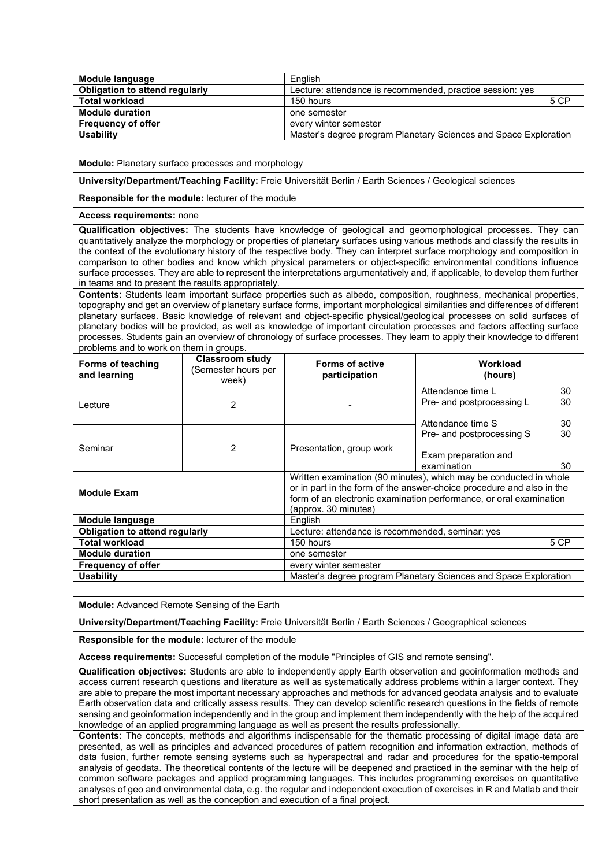| Module language                | English                                                          |      |
|--------------------------------|------------------------------------------------------------------|------|
| Obligation to attend regularly | Lecture: attendance is recommended, practice session: yes        |      |
| <b>Total workload</b>          | 150 hours                                                        | 5 CP |
| <b>Module duration</b>         | one semester                                                     |      |
| <b>Frequency of offer</b>      | every winter semester                                            |      |
| <b>Usability</b>               | Master's degree program Planetary Sciences and Space Exploration |      |

**Module:** Planetary surface processes and morphology

**University/Department/Teaching Facility:** Freie Universität Berlin / Earth Sciences / Geological sciences

**Responsible for the module:** lecturer of the module

**Access requirements:** none

**Qualification objectives:** The students have knowledge of geological and geomorphological processes. They can quantitatively analyze the morphology or properties of planetary surfaces using various methods and classify the results in the context of the evolutionary history of the respective body. They can interpret surface morphology and composition in comparison to other bodies and know which physical parameters or object-specific environmental conditions influence surface processes. They are able to represent the interpretations argumentatively and, if applicable, to develop them further in teams and to present the results appropriately.

**Contents:** Students learn important surface properties such as albedo, composition, roughness, mechanical properties, topography and get an overview of planetary surface forms, important morphological similarities and differences of different planetary surfaces. Basic knowledge of relevant and object-specific physical/geological processes on solid surfaces of planetary bodies will be provided, as well as knowledge of important circulation processes and factors affecting surface processes. Students gain an overview of chronology of surface processes. They learn to apply their knowledge to different problems and to work on them in groups.

| Forms of teaching<br>and learning      | <b>Classroom study</b><br>(Semester hours per<br>week) | <b>Forms of active</b><br>participation                                                                                                                                                                                                  | Workload<br>(hours)                            |          |
|----------------------------------------|--------------------------------------------------------|------------------------------------------------------------------------------------------------------------------------------------------------------------------------------------------------------------------------------------------|------------------------------------------------|----------|
| Lecture                                | 2                                                      |                                                                                                                                                                                                                                          | Attendance time L<br>Pre- and postprocessing L | 30<br>30 |
|                                        |                                                        |                                                                                                                                                                                                                                          | Attendance time S                              | 30       |
|                                        |                                                        |                                                                                                                                                                                                                                          | Pre- and postprocessing S                      | 30       |
| Seminar                                | 2                                                      | Presentation, group work                                                                                                                                                                                                                 | Exam preparation and<br>examination            | 30       |
| <b>Module Exam</b>                     |                                                        | Written examination (90 minutes), which may be conducted in whole<br>or in part in the form of the answer-choice procedure and also in the<br>form of an electronic examination performance, or oral examination<br>(approx. 30 minutes) |                                                |          |
| Module language                        |                                                        | English                                                                                                                                                                                                                                  |                                                |          |
| <b>Obligation to attend regularly</b>  |                                                        | Lecture: attendance is recommended, seminar: yes                                                                                                                                                                                         |                                                |          |
| <b>Total workload</b>                  |                                                        | 5 CP<br>150 hours                                                                                                                                                                                                                        |                                                |          |
| <b>Module duration</b><br>one semester |                                                        |                                                                                                                                                                                                                                          |                                                |          |
| <b>Frequency of offer</b>              | every winter semester                                  |                                                                                                                                                                                                                                          |                                                |          |
| <b>Usability</b>                       |                                                        | Master's degree program Planetary Sciences and Space Exploration                                                                                                                                                                         |                                                |          |

**Module:** Advanced Remote Sensing of the Earth

**University/Department/Teaching Facility:** Freie Universität Berlin / Earth Sciences / Geographical sciences

**Responsible for the module:** lecturer of the module

**Access requirements:** Successful completion of the module "Principles of GIS and remote sensing".

**Qualification objectives:** Students are able to independently apply Earth observation and geoinformation methods and access current research questions and literature as well as systematically address problems within a larger context. They are able to prepare the most important necessary approaches and methods for advanced geodata analysis and to evaluate Earth observation data and critically assess results. They can develop scientific research questions in the fields of remote sensing and geoinformation independently and in the group and implement them independently with the help of the acquired knowledge of an applied programming language as well as present the results professionally.

**Contents:** The concepts, methods and algorithms indispensable for the thematic processing of digital image data are presented, as well as principles and advanced procedures of pattern recognition and information extraction, methods of data fusion, further remote sensing systems such as hyperspectral and radar and procedures for the spatio-temporal analysis of geodata. The theoretical contents of the lecture will be deepened and practiced in the seminar with the help of common software packages and applied programming languages. This includes programming exercises on quantitative analyses of geo and environmental data, e.g. the regular and independent execution of exercises in R and Matlab and their short presentation as well as the conception and execution of a final project.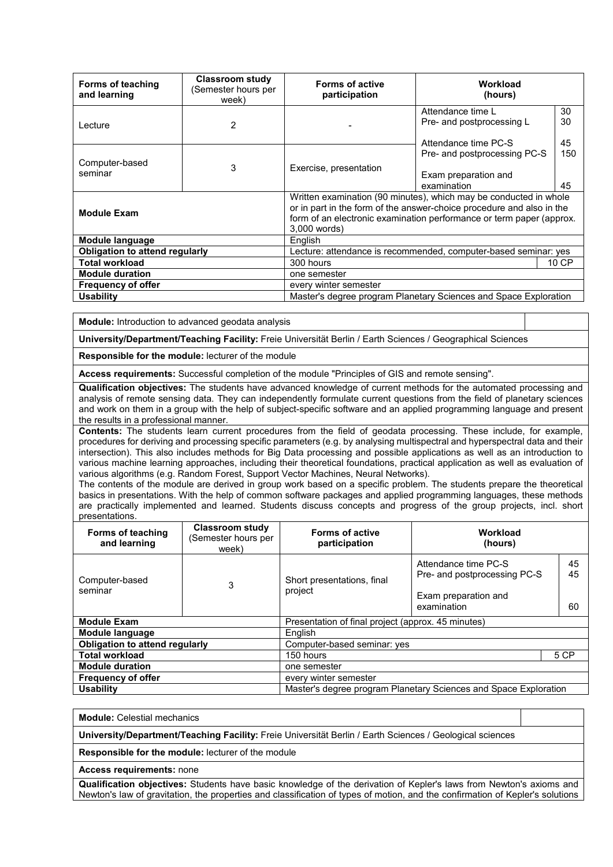| <b>Forms of teaching</b><br>and learning                                             | <b>Classroom study</b><br>Semester hours per<br>week) | <b>Forms of active</b><br>participation                                                                                                                                                                                            | Workload<br>(hours)                                                    |                |
|--------------------------------------------------------------------------------------|-------------------------------------------------------|------------------------------------------------------------------------------------------------------------------------------------------------------------------------------------------------------------------------------------|------------------------------------------------------------------------|----------------|
| Lecture                                                                              | 2                                                     |                                                                                                                                                                                                                                    | Attendance time L<br>Pre- and postprocessing L<br>Attendance time PC-S | 30<br>30<br>45 |
| Computer-based<br>seminar                                                            | 3                                                     | Exercise, presentation                                                                                                                                                                                                             | Pre- and postprocessing PC-S<br>Exam preparation and<br>examination    | 150<br>45      |
| <b>Module Exam</b>                                                                   |                                                       | Written examination (90 minutes), which may be conducted in whole<br>or in part in the form of the answer-choice procedure and also in the<br>form of an electronic examination performance or term paper (approx.<br>3,000 words) |                                                                        |                |
| Module language                                                                      |                                                       | English                                                                                                                                                                                                                            |                                                                        |                |
| <b>Obligation to attend regularly</b>                                                |                                                       | Lecture: attendance is recommended, computer-based seminar: yes                                                                                                                                                                    |                                                                        |                |
| <b>Total workload</b>                                                                |                                                       | 300 hours<br>10 CP                                                                                                                                                                                                                 |                                                                        |                |
| <b>Module duration</b><br>one semester                                               |                                                       |                                                                                                                                                                                                                                    |                                                                        |                |
| <b>Frequency of offer</b>                                                            | every winter semester                                 |                                                                                                                                                                                                                                    |                                                                        |                |
| Master's degree program Planetary Sciences and Space Exploration<br><b>Usability</b> |                                                       |                                                                                                                                                                                                                                    |                                                                        |                |

**Module:** Introduction to advanced geodata analysis

**University/Department/Teaching Facility:** Freie Universität Berlin / Earth Sciences / Geographical Sciences

**Responsible for the module:** lecturer of the module

**Access requirements:** Successful completion of the module "Principles of GIS and remote sensing".

**Qualification objectives:** The students have advanced knowledge of current methods for the automated processing and analysis of remote sensing data. They can independently formulate current questions from the field of planetary sciences and work on them in a group with the help of subject-specific software and an applied programming language and present the results in a professional manner.

**Contents:** The students learn current procedures from the field of geodata processing. These include, for example, procedures for deriving and processing specific parameters (e.g. by analysing multispectral and hyperspectral data and their intersection). This also includes methods for Big Data processing and possible applications as well as an introduction to various machine learning approaches, including their theoretical foundations, practical application as well as evaluation of various algorithms (e.g. Random Forest, Support Vector Machines, Neural Networks).

The contents of the module are derived in group work based on a specific problem. The students prepare the theoretical basics in presentations. With the help of common software packages and applied programming languages, these methods are practically implemented and learned. Students discuss concepts and progress of the group projects, incl. short presentations.

| <b>Forms of teaching</b><br>and learning | <b>Classroom study</b><br>(Semester hours per<br>week) | <b>Forms of active</b><br>participation                          | Workload<br>(hours)                                                                         |                |
|------------------------------------------|--------------------------------------------------------|------------------------------------------------------------------|---------------------------------------------------------------------------------------------|----------------|
| Computer-based<br>seminar                | 3                                                      | Short presentations, final<br>project                            | Attendance time PC-S<br>Pre- and postprocessing PC-S<br>Exam preparation and<br>examination | 45<br>45<br>60 |
| <b>Module Exam</b>                       |                                                        | Presentation of final project (approx. 45 minutes)               |                                                                                             |                |
| Module language                          |                                                        | English                                                          |                                                                                             |                |
| <b>Obligation to attend regularly</b>    |                                                        | Computer-based seminar: yes                                      |                                                                                             |                |
| <b>Total workload</b>                    |                                                        | 150 hours                                                        |                                                                                             | 5 CP           |
| <b>Module duration</b>                   |                                                        | one semester                                                     |                                                                                             |                |
| <b>Frequency of offer</b>                |                                                        | every winter semester                                            |                                                                                             |                |
| <b>Usability</b>                         |                                                        | Master's degree program Planetary Sciences and Space Exploration |                                                                                             |                |

**Module:** Celestial mechanics

**University/Department/Teaching Facility:** Freie Universität Berlin / Earth Sciences / Geological sciences

**Responsible for the module:** lecturer of the module

**Access requirements:** none

**Qualification objectives:** Students have basic knowledge of the derivation of Kepler's laws from Newton's axioms and Newton's law of gravitation, the properties and classification of types of motion, and the confirmation of Kepler's solutions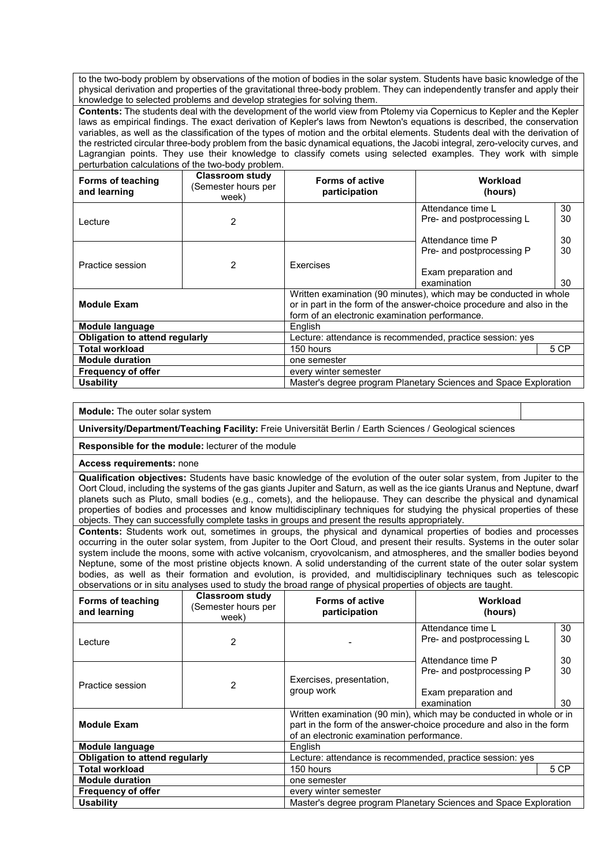to the two-body problem by observations of the motion of bodies in the solar system. Students have basic knowledge of the physical derivation and properties of the gravitational three-body problem. They can independently transfer and apply their knowledge to selected problems and develop strategies for solving them.

**Contents:** The students deal with the development of the world view from Ptolemy via Copernicus to Kepler and the Kepler laws as empirical findings. The exact derivation of Kepler's laws from Newton's equations is described, the conservation variables, as well as the classification of the types of motion and the orbital elements. Students deal with the derivation of the restricted circular three-body problem from the basic dynamical equations, the Jacobi integral, zero-velocity curves, and Lagrangian points. They use their knowledge to classify comets using selected examples. They work with simple perturbation calculations of the two-body problem.

| Forms of teaching<br>and learning      | <b>Classroom study</b><br>(Semester hours per<br>week)           | <b>Forms of active</b><br>participation                                                                                                                                                      | Workload<br>(hours)                            |          |
|----------------------------------------|------------------------------------------------------------------|----------------------------------------------------------------------------------------------------------------------------------------------------------------------------------------------|------------------------------------------------|----------|
| Lecture                                | $\overline{2}$                                                   |                                                                                                                                                                                              | Attendance time L<br>Pre- and postprocessing L | 30<br>30 |
|                                        |                                                                  |                                                                                                                                                                                              | Attendance time P<br>Pre- and postprocessing P | 30<br>30 |
| Practice session                       | 2                                                                | <b>Exercises</b>                                                                                                                                                                             | Exam preparation and<br>examination            | 30       |
| <b>Module Exam</b>                     |                                                                  | Written examination (90 minutes), which may be conducted in whole<br>or in part in the form of the answer-choice procedure and also in the<br>form of an electronic examination performance. |                                                |          |
| <b>Module language</b>                 |                                                                  | English                                                                                                                                                                                      |                                                |          |
| <b>Obligation to attend regularly</b>  |                                                                  | Lecture: attendance is recommended, practice session: yes                                                                                                                                    |                                                |          |
| <b>Total workload</b>                  |                                                                  | 5 CP<br>150 hours                                                                                                                                                                            |                                                |          |
| <b>Module duration</b><br>one semester |                                                                  |                                                                                                                                                                                              |                                                |          |
| <b>Frequency of offer</b>              | every winter semester                                            |                                                                                                                                                                                              |                                                |          |
| <b>Usability</b>                       | Master's degree program Planetary Sciences and Space Exploration |                                                                                                                                                                                              |                                                |          |

**Module:** The outer solar system

**University/Department/Teaching Facility:** Freie Universität Berlin / Earth Sciences / Geological sciences

**Responsible for the module:** lecturer of the module

**Access requirements:** none

**Qualification objectives:** Students have basic knowledge of the evolution of the outer solar system, from Jupiter to the Oort Cloud, including the systems of the gas giants Jupiter and Saturn, as well as the ice giants Uranus and Neptune, dwarf planets such as Pluto, small bodies (e.g., comets), and the heliopause. They can describe the physical and dynamical properties of bodies and processes and know multidisciplinary techniques for studying the physical properties of these objects. They can successfully complete tasks in groups and present the results appropriately.

**Contents:** Students work out, sometimes in groups, the physical and dynamical properties of bodies and processes occurring in the outer solar system, from Jupiter to the Oort Cloud, and present their results. Systems in the outer solar system include the moons, some with active volcanism, cryovolcanism, and atmospheres, and the smaller bodies beyond Neptune, some of the most pristine objects known. A solid understanding of the current state of the outer solar system bodies, as well as their formation and evolution, is provided, and multidisciplinary techniques such as telescopic observations or in situ analyses used to study the broad range of physical properties of objects are taught.

| Forms of teaching<br>and learning     | <b>Classroom study</b><br>(Semester hours per<br>week) | <b>Forms of active</b><br>participation                                                                                                                                                  | Workload<br>(hours)                                                 |                |
|---------------------------------------|--------------------------------------------------------|------------------------------------------------------------------------------------------------------------------------------------------------------------------------------------------|---------------------------------------------------------------------|----------------|
| Lecture                               | 2                                                      |                                                                                                                                                                                          | Attendance time L<br>Pre- and postprocessing L<br>Attendance time P | 30<br>30<br>30 |
| Practice session                      | $\mathcal{P}$                                          | Exercises, presentation,<br>group work                                                                                                                                                   | Pre- and postprocessing P<br>Exam preparation and<br>examination    | 30<br>30       |
| <b>Module Exam</b>                    |                                                        | Written examination (90 min), which may be conducted in whole or in<br>part in the form of the answer-choice procedure and also in the form<br>of an electronic examination performance. |                                                                     |                |
| Module language                       |                                                        | English                                                                                                                                                                                  |                                                                     |                |
| <b>Obligation to attend regularly</b> |                                                        | Lecture: attendance is recommended, practice session: yes                                                                                                                                |                                                                     |                |
| <b>Total workload</b>                 |                                                        | 150 hours<br>5 CP                                                                                                                                                                        |                                                                     |                |
| <b>Module duration</b>                |                                                        | one semester                                                                                                                                                                             |                                                                     |                |
| <b>Frequency of offer</b>             |                                                        | every winter semester                                                                                                                                                                    |                                                                     |                |
| <b>Usability</b>                      |                                                        | Master's degree program Planetary Sciences and Space Exploration                                                                                                                         |                                                                     |                |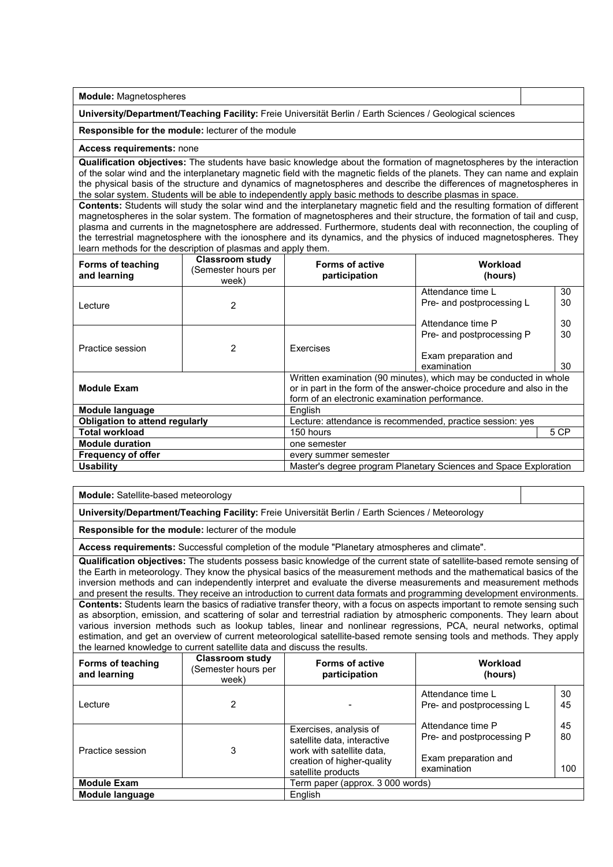**Module:** Magnetospheres

**University/Department/Teaching Facility:** Freie Universität Berlin / Earth Sciences / Geological sciences

**Responsible for the module:** lecturer of the module

#### **Access requirements:** none

**Qualification objectives:** The students have basic knowledge about the formation of magnetospheres by the interaction of the solar wind and the interplanetary magnetic field with the magnetic fields of the planets. They can name and explain the physical basis of the structure and dynamics of magnetospheres and describe the differences of magnetospheres in the solar system. Students will be able to independently apply basic methods to describe plasmas in space

**Contents:** Students will study the solar wind and the interplanetary magnetic field and the resulting formation of different magnetospheres in the solar system. The formation of magnetospheres and their structure, the formation of tail and cusp, plasma and currents in the magnetosphere are addressed. Furthermore, students deal with reconnection, the coupling of the terrestrial magnetosphere with the ionosphere and its dynamics, and the physics of induced magnetospheres. They learn methods for the description of plasmas and apply them.

| Forms of teaching<br>and learning                                                    | <b>Classroom study</b><br>(Semester hours per<br>week) | <b>Forms of active</b><br>participation                                                                                                                                                      | Workload<br>(hours)                                                 |                |
|--------------------------------------------------------------------------------------|--------------------------------------------------------|----------------------------------------------------------------------------------------------------------------------------------------------------------------------------------------------|---------------------------------------------------------------------|----------------|
| Lecture                                                                              | 2                                                      |                                                                                                                                                                                              | Attendance time L<br>Pre- and postprocessing L<br>Attendance time P | 30<br>30<br>30 |
| Practice session                                                                     | 2                                                      | <b>Exercises</b>                                                                                                                                                                             | Pre- and postprocessing P<br>Exam preparation and<br>examination    | 30<br>30       |
| <b>Module Exam</b>                                                                   |                                                        | Written examination (90 minutes), which may be conducted in whole<br>or in part in the form of the answer-choice procedure and also in the<br>form of an electronic examination performance. |                                                                     |                |
| Module language                                                                      |                                                        | English                                                                                                                                                                                      |                                                                     |                |
| <b>Obligation to attend regularly</b>                                                |                                                        | Lecture: attendance is recommended, practice session: yes                                                                                                                                    |                                                                     |                |
| <b>Total workload</b>                                                                |                                                        | 5 CP<br>150 hours                                                                                                                                                                            |                                                                     |                |
| <b>Module duration</b><br>one semester                                               |                                                        |                                                                                                                                                                                              |                                                                     |                |
| <b>Frequency of offer</b>                                                            | every summer semester                                  |                                                                                                                                                                                              |                                                                     |                |
| Master's degree program Planetary Sciences and Space Exploration<br><b>Usability</b> |                                                        |                                                                                                                                                                                              |                                                                     |                |

**Module:** Satellite-based meteorology

**University/Department/Teaching Facility:** Freie Universität Berlin / Earth Sciences / Meteorology

**Responsible for the module:** lecturer of the module

**Access requirements:** Successful completion of the module "Planetary atmospheres and climate".

**Qualification objectives:** The students possess basic knowledge of the current state of satellite-based remote sensing of the Earth in meteorology. They know the physical basics of the measurement methods and the mathematical basics of the inversion methods and can independently interpret and evaluate the diverse measurements and measurement methods and present the results. They receive an introduction to current data formats and programming development environments. **Contents:** Students learn the basics of radiative transfer theory, with a focus on aspects important to remote sensing such as absorption, emission, and scattering of solar and terrestrial radiation by atmospheric components. They learn about various inversion methods such as lookup tables, linear and nonlinear regressions, PCA, neural networks, optimal estimation, and get an overview of current meteorological satellite-based remote sensing tools and methods. They apply the learned knowledge to current satellite data and discuss the results.

| <b>Forms of teaching</b><br>and learning | <b>Classroom study</b><br>(Semester hours per<br>week) | <b>Forms of active</b><br>participation                                                                                                | Workload<br>(hours)                                                                   |                 |
|------------------------------------------|--------------------------------------------------------|----------------------------------------------------------------------------------------------------------------------------------------|---------------------------------------------------------------------------------------|-----------------|
| Lecture                                  | 2                                                      |                                                                                                                                        | Attendance time L<br>Pre- and postprocessing L                                        | 30<br>45        |
| Practice session                         | 3                                                      | Exercises, analysis of<br>satellite data, interactive<br>work with satellite data.<br>creation of higher-quality<br>satellite products | Attendance time P<br>Pre- and postprocessing P<br>Exam preparation and<br>examination | 45<br>80<br>100 |
| <b>Module Exam</b>                       |                                                        | Term paper (approx. 3 000 words)                                                                                                       |                                                                                       |                 |
| Module language                          |                                                        | English                                                                                                                                |                                                                                       |                 |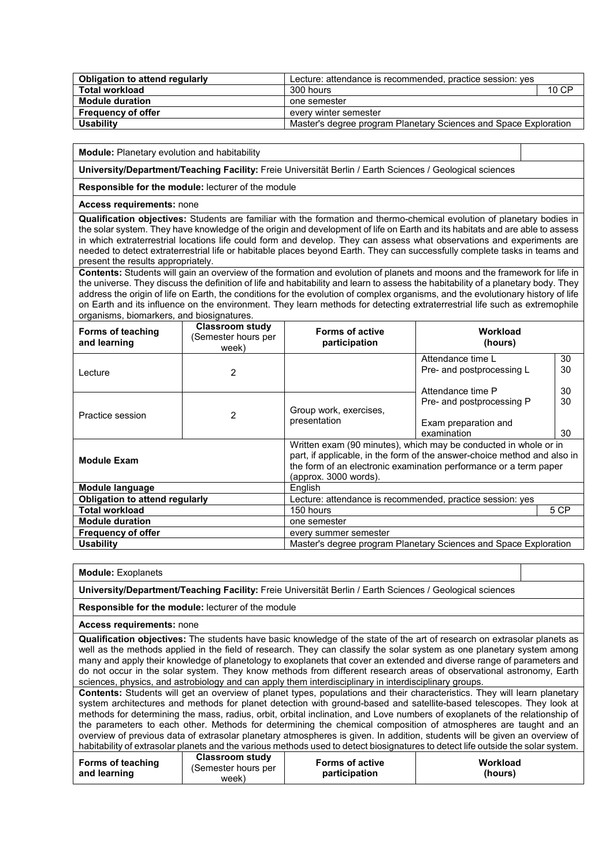| Obligation to attend regularly | Lecture: attendance is recommended, practice session: yes        |       |
|--------------------------------|------------------------------------------------------------------|-------|
| Total workload                 | 300 hours                                                        | 10 CP |
| <b>Module duration</b>         | one semester                                                     |       |
| <b>Frequency of offer</b>      | everv winter semester                                            |       |
| <b>Usability</b>               | Master's degree program Planetary Sciences and Space Exploration |       |

**Module:** Planetary evolution and habitability

**University/Department/Teaching Facility:** Freie Universität Berlin / Earth Sciences / Geological sciences

**Responsible for the module:** lecturer of the module

#### **Access requirements:** none

**Qualification objectives:** Students are familiar with the formation and thermo-chemical evolution of planetary bodies in the solar system. They have knowledge of the origin and development of life on Earth and its habitats and are able to assess in which extraterrestrial locations life could form and develop. They can assess what observations and experiments are needed to detect extraterrestrial life or habitable places beyond Earth. They can successfully complete tasks in teams and present the results appropriately.

**Contents:** Students will gain an overview of the formation and evolution of planets and moons and the framework for life in the universe. They discuss the definition of life and habitability and learn to assess the habitability of a planetary body. They address the origin of life on Earth, the conditions for the evolution of complex organisms, and the evolutionary history of life on Earth and its influence on the environment. They learn methods for detecting extraterrestrial life such as extremophile organisms, biomarkers, and biosignatures.

| Forms of teaching<br>and learning     | <b>Classroom study</b><br>(Semester hours per<br>week) | <b>Forms of active</b><br>participation                          | Workload<br>(hours)                                                                                                                                                                                               |      |
|---------------------------------------|--------------------------------------------------------|------------------------------------------------------------------|-------------------------------------------------------------------------------------------------------------------------------------------------------------------------------------------------------------------|------|
|                                       |                                                        |                                                                  | Attendance time L                                                                                                                                                                                                 | 30   |
| Lecture                               | 2                                                      |                                                                  | Pre- and postprocessing L                                                                                                                                                                                         | 30   |
|                                       |                                                        |                                                                  | Attendance time P                                                                                                                                                                                                 | 30   |
| Practice session                      |                                                        |                                                                  | Pre- and postprocessing P                                                                                                                                                                                         | 30   |
|                                       | $\mathfrak{p}$                                         | Group work, exercises,<br>presentation                           | Exam preparation and                                                                                                                                                                                              |      |
|                                       |                                                        |                                                                  | examination                                                                                                                                                                                                       | 30   |
| <b>Module Exam</b>                    |                                                        | (approx. 3000 words).                                            | Written exam (90 minutes), which may be conducted in whole or in<br>part, if applicable, in the form of the answer-choice method and also in<br>the form of an electronic examination performance or a term paper |      |
| Module language                       |                                                        | English                                                          |                                                                                                                                                                                                                   |      |
| <b>Obligation to attend regularly</b> |                                                        |                                                                  | Lecture: attendance is recommended, practice session: yes                                                                                                                                                         |      |
| <b>Total workload</b>                 |                                                        | 150 hours                                                        |                                                                                                                                                                                                                   | 5 CP |
| <b>Module duration</b>                |                                                        | one semester                                                     |                                                                                                                                                                                                                   |      |
| <b>Frequency of offer</b>             |                                                        | every summer semester                                            |                                                                                                                                                                                                                   |      |
| <b>Usability</b>                      |                                                        | Master's degree program Planetary Sciences and Space Exploration |                                                                                                                                                                                                                   |      |
|                                       |                                                        |                                                                  |                                                                                                                                                                                                                   |      |

**Module:** Exoplanets

**University/Department/Teaching Facility:** Freie Universität Berlin / Earth Sciences / Geological sciences

**Responsible for the module:** lecturer of the module

**Access requirements:** none

**Qualification objectives:** The students have basic knowledge of the state of the art of research on extrasolar planets as well as the methods applied in the field of research. They can classify the solar system as one planetary system among many and apply their knowledge of planetology to exoplanets that cover an extended and diverse range of parameters and do not occur in the solar system. They know methods from different research areas of observational astronomy, Earth sciences, physics, and astrobiology and can apply them interdisciplinary in interdisciplinary groups.

**Contents:** Students will get an overview of planet types, populations and their characteristics. They will learn planetary system architectures and methods for planet detection with ground-based and satellite-based telescopes. They look at methods for determining the mass, radius, orbit, orbital inclination, and Love numbers of exoplanets of the relationship of the parameters to each other. Methods for determining the chemical composition of atmospheres are taught and an overview of previous data of extrasolar planetary atmospheres is given. In addition, students will be given an overview of habitability of extrasolar planets and the various methods used to detect biosignatures to detect life outside the solar system.

| <b>Forms of teaching</b><br>and learning | Classroom study<br>(Semester hours per<br>week) | <b>Forms of active</b><br>participation | Workload<br>(hours) |
|------------------------------------------|-------------------------------------------------|-----------------------------------------|---------------------|
|------------------------------------------|-------------------------------------------------|-----------------------------------------|---------------------|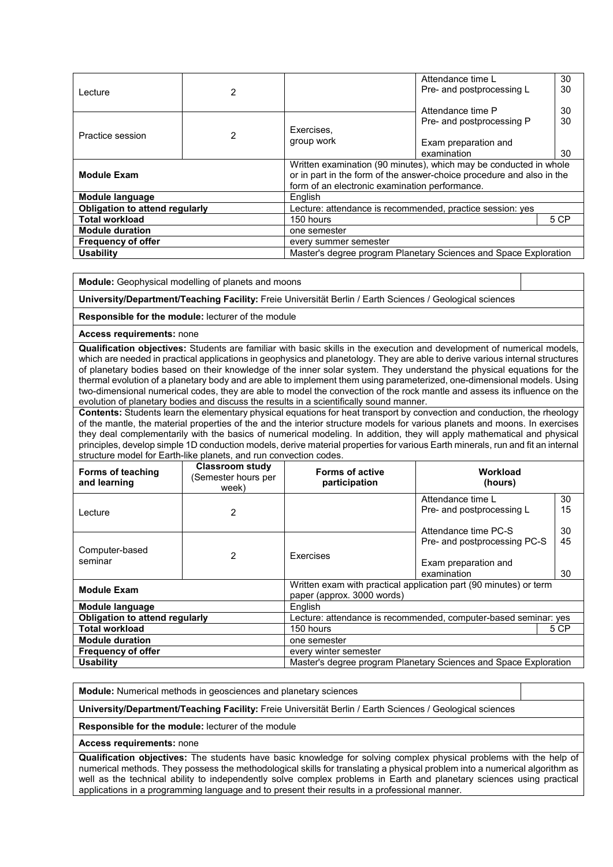|                                                    |                                                                  |                                                                       | Attendance time L         | 30   |
|----------------------------------------------------|------------------------------------------------------------------|-----------------------------------------------------------------------|---------------------------|------|
| Lecture                                            | 2                                                                |                                                                       | Pre- and postprocessing L | 30   |
|                                                    |                                                                  |                                                                       |                           |      |
|                                                    |                                                                  |                                                                       | Attendance time P         | 30   |
|                                                    |                                                                  |                                                                       | Pre- and postprocessing P | 30   |
| Practice session                                   | $\mathcal{P}$                                                    | Exercises,                                                            |                           |      |
|                                                    |                                                                  | group work                                                            | Exam preparation and      |      |
|                                                    |                                                                  |                                                                       | examination               | 30   |
|                                                    |                                                                  | Written examination (90 minutes), which may be conducted in whole     |                           |      |
| <b>Module Exam</b>                                 |                                                                  | or in part in the form of the answer-choice procedure and also in the |                           |      |
|                                                    |                                                                  | form of an electronic examination performance.                        |                           |      |
| Module language                                    |                                                                  | English                                                               |                           |      |
| Obligation to attend regularly                     |                                                                  | Lecture: attendance is recommended, practice session: yes             |                           |      |
| <b>Total workload</b>                              |                                                                  | 150 hours                                                             |                           | 5 CP |
| <b>Module duration</b>                             |                                                                  | one semester                                                          |                           |      |
| <b>Frequency of offer</b><br>every summer semester |                                                                  |                                                                       |                           |      |
| <b>Usability</b>                                   | Master's degree program Planetary Sciences and Space Exploration |                                                                       |                           |      |

**Module:** Geophysical modelling of planets and moons

**University/Department/Teaching Facility:** Freie Universität Berlin / Earth Sciences / Geological sciences

**Responsible for the module:** lecturer of the module

**Access requirements:** none

**Qualification objectives:** Students are familiar with basic skills in the execution and development of numerical models, which are needed in practical applications in geophysics and planetology. They are able to derive various internal structures of planetary bodies based on their knowledge of the inner solar system. They understand the physical equations for the thermal evolution of a planetary body and are able to implement them using parameterized, one-dimensional models. Using two-dimensional numerical codes, they are able to model the convection of the rock mantle and assess its influence on the evolution of planetary bodies and discuss the results in a scientifically sound manner.

**Contents:** Students learn the elementary physical equations for heat transport by convection and conduction, the rheology of the mantle, the material properties of the and the interior structure models for various planets and moons. In exercises they deal complementarily with the basics of numerical modeling. In addition, they will apply mathematical and physical principles, develop simple 1D conduction models, derive material properties for various Earth minerals, run and fit an internal structure model for Earth-like planets, and run convection codes.

| <b>Forms of teaching</b><br>and learning | Classroom study<br>(Semester hours per<br>week) | <b>Forms of active</b><br>participation                           | Workload<br>(hours)                            |          |
|------------------------------------------|-------------------------------------------------|-------------------------------------------------------------------|------------------------------------------------|----------|
|                                          |                                                 |                                                                   | Attendance time L<br>Pre- and postprocessing L | 30<br>15 |
| I ecture                                 | 2                                               |                                                                   |                                                |          |
|                                          |                                                 |                                                                   | Attendance time PC-S                           | 30       |
| Computer-based<br>seminar                | 2                                               |                                                                   | Pre- and postprocessing PC-S                   | 45       |
|                                          |                                                 | Exercises                                                         |                                                |          |
|                                          |                                                 |                                                                   | Exam preparation and                           |          |
|                                          |                                                 |                                                                   | examination                                    | 30       |
|                                          |                                                 | Written exam with practical application part (90 minutes) or term |                                                |          |
| <b>Module Exam</b>                       |                                                 | paper (approx. 3000 words)                                        |                                                |          |
| Module language                          |                                                 | English                                                           |                                                |          |
| <b>Obligation to attend regularly</b>    |                                                 | Lecture: attendance is recommended, computer-based seminar: yes   |                                                |          |
| <b>Total workload</b>                    |                                                 | 150 hours<br>5 CP                                                 |                                                |          |
| <b>Module duration</b>                   |                                                 | one semester                                                      |                                                |          |
| <b>Frequency of offer</b>                |                                                 | every winter semester                                             |                                                |          |
| <b>Usability</b>                         |                                                 | Master's degree program Planetary Sciences and Space Exploration  |                                                |          |

**Module:** Numerical methods in geosciences and planetary sciences

**University/Department/Teaching Facility:** Freie Universität Berlin / Earth Sciences / Geological sciences

**Responsible for the module:** lecturer of the module

**Access requirements:** none

**Qualification objectives:** The students have basic knowledge for solving complex physical problems with the help of numerical methods. They possess the methodological skills for translating a physical problem into a numerical algorithm as well as the technical ability to independently solve complex problems in Earth and planetary sciences using practical applications in a programming language and to present their results in a professional manner.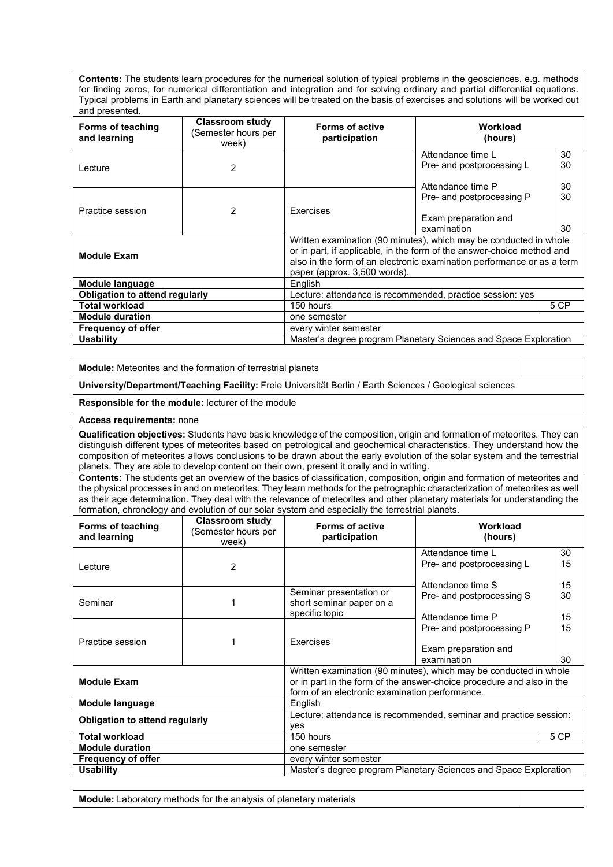**Contents:** The students learn procedures for the numerical solution of typical problems in the geosciences, e.g. methods for finding zeros, for numerical differentiation and integration and for solving ordinary and partial differential equations. Typical problems in Earth and planetary sciences will be treated on the basis of exercises and solutions will be worked out and presented.

| ana proopnoa.<br>Forms of teaching<br>and learning                                   | <b>Classroom study</b><br>(Semester hours per<br>week) | <b>Forms of active</b><br>participation                                                                                                                                                                                                               | Workload<br>(hours)                                                 |                |
|--------------------------------------------------------------------------------------|--------------------------------------------------------|-------------------------------------------------------------------------------------------------------------------------------------------------------------------------------------------------------------------------------------------------------|---------------------------------------------------------------------|----------------|
| Lecture                                                                              | 2                                                      |                                                                                                                                                                                                                                                       | Attendance time L<br>Pre- and postprocessing L<br>Attendance time P | 30<br>30<br>30 |
| Practice session                                                                     | 2                                                      | Exercises                                                                                                                                                                                                                                             | Pre- and postprocessing P<br>Exam preparation and<br>examination    | 30<br>30       |
| <b>Module Exam</b>                                                                   |                                                        | Written examination (90 minutes), which may be conducted in whole<br>or in part, if applicable, in the form of the answer-choice method and<br>also in the form of an electronic examination performance or as a term<br>paper (approx. 3,500 words). |                                                                     |                |
| Module language                                                                      |                                                        | <b>English</b>                                                                                                                                                                                                                                        |                                                                     |                |
| <b>Obligation to attend regularly</b>                                                |                                                        | Lecture: attendance is recommended, practice session: yes                                                                                                                                                                                             |                                                                     |                |
| <b>Total workload</b>                                                                |                                                        | 5 CP<br>150 hours                                                                                                                                                                                                                                     |                                                                     |                |
| <b>Module duration</b>                                                               |                                                        | one semester                                                                                                                                                                                                                                          |                                                                     |                |
| <b>Frequency of offer</b>                                                            |                                                        | every winter semester                                                                                                                                                                                                                                 |                                                                     |                |
| <b>Usability</b><br>Master's degree program Planetary Sciences and Space Exploration |                                                        |                                                                                                                                                                                                                                                       |                                                                     |                |

**Module:** Meteorites and the formation of terrestrial planets

**University/Department/Teaching Facility:** Freie Universität Berlin / Earth Sciences / Geological sciences

**Responsible for the module:** lecturer of the module

**Access requirements:** none

**Qualification objectives:** Students have basic knowledge of the composition, origin and formation of meteorites. They can distinguish different types of meteorites based on petrological and geochemical characteristics. They understand how the composition of meteorites allows conclusions to be drawn about the early evolution of the solar system and the terrestrial planets. They are able to develop content on their own, present it orally and in writing.

**Contents:** The students get an overview of the basics of classification, composition, origin and formation of meteorites and the physical processes in and on meteorites. They learn methods for the petrographic characterization of meteorites as well as their age determination. They deal with the relevance of meteorites and other planetary materials for understanding the formation, chronology and evolution of our solar system and especially the terrestrial planets.

| Forms of teaching<br>and learning     | <b>Classroom study</b><br>(Semester hours per<br>week) | <b>Forms of active</b><br>participation                               | Workload<br>(hours)       |    |
|---------------------------------------|--------------------------------------------------------|-----------------------------------------------------------------------|---------------------------|----|
|                                       |                                                        |                                                                       | Attendance time I         | 30 |
| Lecture                               | 2                                                      |                                                                       | Pre- and postprocessing L | 15 |
|                                       |                                                        |                                                                       | Attendance time S         | 15 |
|                                       |                                                        | Seminar presentation or                                               | Pre- and postprocessing S | 30 |
| Seminar                               |                                                        | short seminar paper on a                                              |                           |    |
|                                       |                                                        | specific topic                                                        | Attendance time P         | 15 |
|                                       |                                                        |                                                                       | Pre- and postprocessing P | 15 |
| Practice session                      |                                                        | Exercises                                                             |                           |    |
|                                       |                                                        |                                                                       | Exam preparation and      |    |
|                                       |                                                        |                                                                       | examination               | 30 |
|                                       |                                                        | Written examination (90 minutes), which may be conducted in whole     |                           |    |
| <b>Module Exam</b>                    |                                                        | or in part in the form of the answer-choice procedure and also in the |                           |    |
|                                       |                                                        | form of an electronic examination performance.                        |                           |    |
| Module language                       |                                                        | English                                                               |                           |    |
| <b>Obligation to attend regularly</b> |                                                        | Lecture: attendance is recommended, seminar and practice session:     |                           |    |
|                                       |                                                        | ves                                                                   |                           |    |
| <b>Total workload</b>                 |                                                        | 5 CP<br>150 hours                                                     |                           |    |
| <b>Module duration</b>                |                                                        | one semester                                                          |                           |    |
| <b>Frequency of offer</b>             |                                                        | every winter semester                                                 |                           |    |
| <b>Usability</b>                      |                                                        | Master's degree program Planetary Sciences and Space Exploration      |                           |    |

**Module:** Laboratory methods for the analysis of planetary materials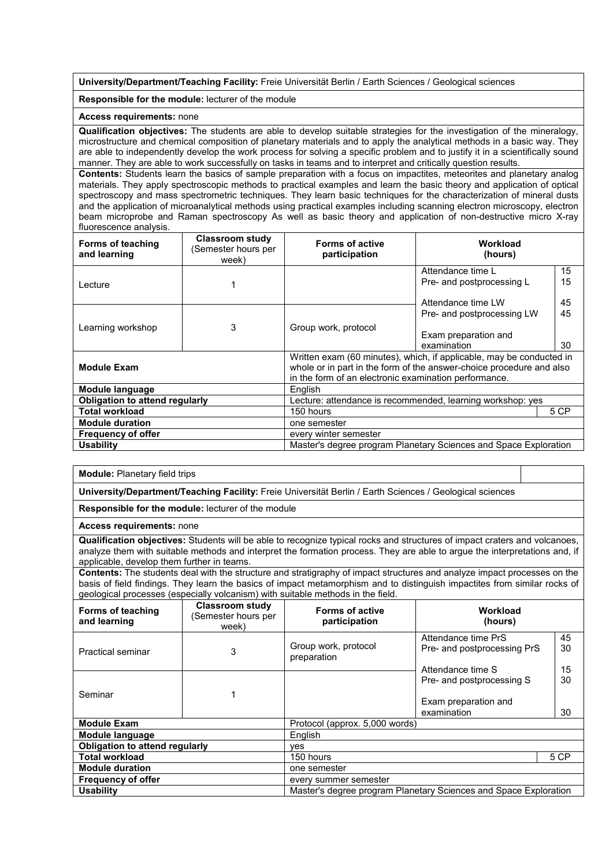**University/Department/Teaching Facility:** Freie Universität Berlin / Earth Sciences / Geological sciences

#### **Responsible for the module:** lecturer of the module

#### **Access requirements:** none

**Qualification objectives:** The students are able to develop suitable strategies for the investigation of the mineralogy, microstructure and chemical composition of planetary materials and to apply the analytical methods in a basic way. They are able to independently develop the work process for solving a specific problem and to justify it in a scientifically sound manner. They are able to work successfully on tasks in teams and to interpret and critically question results.

**Contents:** Students learn the basics of sample preparation with a focus on impactites, meteorites and planetary analog materials. They apply spectroscopic methods to practical examples and learn the basic theory and application of optical spectroscopy and mass spectrometric techniques. They learn basic techniques for the characterization of mineral dusts and the application of microanalytical methods using practical examples including scanning electron microscopy, electron beam microprobe and Raman spectroscopy As well as basic theory and application of non-destructive micro X-ray fluorescence analysis.

| Forms of teaching<br>and learning     | <b>Classroom study</b><br>(Semester hours per<br>week) | <b>Forms of active</b><br>participation                                                                                                                                                               | Workload<br>(hours)                            |          |
|---------------------------------------|--------------------------------------------------------|-------------------------------------------------------------------------------------------------------------------------------------------------------------------------------------------------------|------------------------------------------------|----------|
|                                       |                                                        |                                                                                                                                                                                                       | Attendance time L<br>Pre- and postprocessing L | 15<br>15 |
| Lecture                               |                                                        |                                                                                                                                                                                                       |                                                |          |
|                                       |                                                        |                                                                                                                                                                                                       | Attendance time LW                             | 45       |
|                                       |                                                        |                                                                                                                                                                                                       | Pre- and postprocessing LW                     | 45       |
| Learning workshop                     | 3                                                      | Group work, protocol                                                                                                                                                                                  | Exam preparation and                           |          |
|                                       |                                                        |                                                                                                                                                                                                       | examination                                    | 30       |
| <b>Module Exam</b>                    |                                                        | Written exam (60 minutes), which, if applicable, may be conducted in<br>whole or in part in the form of the answer-choice procedure and also<br>in the form of an electronic examination performance. |                                                |          |
| Module language                       |                                                        | English                                                                                                                                                                                               |                                                |          |
| <b>Obligation to attend regularly</b> |                                                        | Lecture: attendance is recommended, learning workshop: yes                                                                                                                                            |                                                |          |
| <b>Total workload</b>                 |                                                        | 150 hours<br>5 CP                                                                                                                                                                                     |                                                |          |
| <b>Module duration</b>                |                                                        | one semester                                                                                                                                                                                          |                                                |          |
| <b>Frequency of offer</b>             |                                                        | every winter semester                                                                                                                                                                                 |                                                |          |
| <b>Usability</b>                      |                                                        | Master's degree program Planetary Sciences and Space Exploration                                                                                                                                      |                                                |          |

#### **Module:** Planetary field trips

**University/Department/Teaching Facility:** Freie Universität Berlin / Earth Sciences / Geological sciences

**Responsible for the module:** lecturer of the module

**Access requirements:** none

**Qualification objectives:** Students will be able to recognize typical rocks and structures of impact craters and volcanoes, analyze them with suitable methods and interpret the formation process. They are able to argue the interpretations and, if applicable, develop them further in teams.

**Contents:** The students deal with the structure and stratigraphy of impact structures and analyze impact processes on the basis of field findings. They learn the basics of impact metamorphism and to distinguish impactites from similar rocks of geological processes (especially volcanism) with suitable methods in the field.

| <b>Forms of teaching</b><br>and learning | <b>Classroom study</b><br>Semester hours per<br>week) | <b>Forms of active</b><br>participation                          | Workload<br>(hours)                                |          |
|------------------------------------------|-------------------------------------------------------|------------------------------------------------------------------|----------------------------------------------------|----------|
| <b>Practical seminar</b>                 | 3                                                     | Group work, protocol<br>preparation                              | Attendance time PrS<br>Pre- and postprocessing PrS | 45<br>30 |
|                                          |                                                       |                                                                  | Attendance time S                                  | 15       |
|                                          |                                                       |                                                                  | Pre- and postprocessing S                          | 30       |
| Seminar                                  |                                                       |                                                                  |                                                    |          |
|                                          |                                                       |                                                                  | Exam preparation and<br>examination                | 30       |
| <b>Module Exam</b>                       |                                                       | Protocol (approx. 5,000 words)                                   |                                                    |          |
| Module language                          |                                                       | English                                                          |                                                    |          |
| Obligation to attend regularly           |                                                       | ves                                                              |                                                    |          |
| <b>Total workload</b>                    |                                                       | 150 hours                                                        |                                                    | 5 CP     |
| <b>Module duration</b>                   |                                                       | one semester                                                     |                                                    |          |
| <b>Frequency of offer</b>                |                                                       | every summer semester                                            |                                                    |          |
| <b>Usability</b>                         |                                                       | Master's degree program Planetary Sciences and Space Exploration |                                                    |          |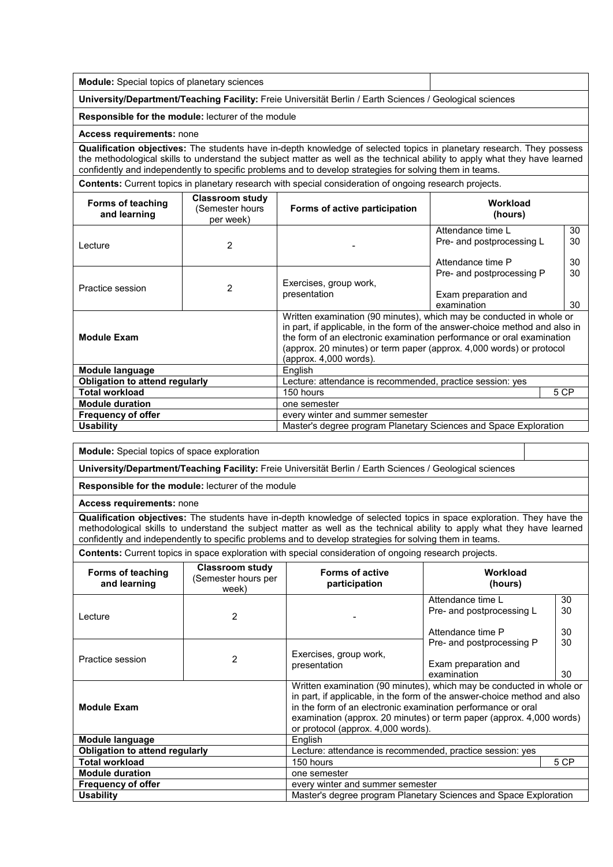**University/Department/Teaching Facility:** Freie Universität Berlin / Earth Sciences / Geological sciences

**Responsible for the module:** lecturer of the module

**Access requirements:** none

**Qualification objectives:** The students have in-depth knowledge of selected topics in planetary research. They possess the methodological skills to understand the subject matter as well as the technical ability to apply what they have learned confidently and independently to specific problems and to develop strategies for solving them in teams.

**Contents:** Current topics in planetary research with special consideration of ongoing research projects.

| Forms of teaching<br>and learning     | <b>Classroom study</b><br>(Semester hours<br>per week) | Forms of active participation                                                                                                                                                                                                                                                                                                  | Workload<br>(hours)                                                 |                |
|---------------------------------------|--------------------------------------------------------|--------------------------------------------------------------------------------------------------------------------------------------------------------------------------------------------------------------------------------------------------------------------------------------------------------------------------------|---------------------------------------------------------------------|----------------|
| Lecture                               | $\mathcal{P}$                                          |                                                                                                                                                                                                                                                                                                                                | Attendance time L<br>Pre- and postprocessing L<br>Attendance time P | 30<br>30<br>30 |
| Practice session                      | $\overline{2}$                                         | Exercises, group work,<br>presentation                                                                                                                                                                                                                                                                                         | Pre- and postprocessing P<br>Exam preparation and<br>examination    | 30<br>30       |
| <b>Module Exam</b>                    |                                                        | Written examination (90 minutes), which may be conducted in whole or<br>in part, if applicable, in the form of the answer-choice method and also in<br>the form of an electronic examination performance or oral examination<br>(approx. 20 minutes) or term paper (approx. 4,000 words) or protocol<br>(approx. 4,000 words). |                                                                     |                |
| Module language                       |                                                        | English                                                                                                                                                                                                                                                                                                                        |                                                                     |                |
| <b>Obligation to attend regularly</b> |                                                        | Lecture: attendance is recommended, practice session: yes                                                                                                                                                                                                                                                                      |                                                                     |                |
| <b>Total workload</b>                 |                                                        | 150 hours<br>5 CP                                                                                                                                                                                                                                                                                                              |                                                                     |                |
| <b>Module duration</b>                |                                                        | one semester                                                                                                                                                                                                                                                                                                                   |                                                                     |                |
| <b>Frequency of offer</b>             |                                                        | every winter and summer semester                                                                                                                                                                                                                                                                                               |                                                                     |                |
| <b>Usability</b>                      |                                                        | Master's degree program Planetary Sciences and Space Exploration                                                                                                                                                                                                                                                               |                                                                     |                |

**Module:** Special topics of space exploration

**University/Department/Teaching Facility:** Freie Universität Berlin / Earth Sciences / Geological sciences

**Responsible for the module:** lecturer of the module

**Access requirements:** none

**Qualification objectives:** The students have in-depth knowledge of selected topics in space exploration. They have the methodological skills to understand the subject matter as well as the technical ability to apply what they have learned confidently and independently to specific problems and to develop strategies for solving them in teams.

**Contents:** Current topics in space exploration with special consideration of ongoing research projects.

| Forms of teaching<br>and learning      | <b>Classroom study</b><br>(Semester hours per<br>week)           | <b>Forms of active</b><br>participation                                                                                                                                                                                                                                                                                        | Workload<br>(hours)       |    |
|----------------------------------------|------------------------------------------------------------------|--------------------------------------------------------------------------------------------------------------------------------------------------------------------------------------------------------------------------------------------------------------------------------------------------------------------------------|---------------------------|----|
|                                        |                                                                  |                                                                                                                                                                                                                                                                                                                                | Attendance time L         | 30 |
| Lecture                                | 2                                                                |                                                                                                                                                                                                                                                                                                                                | Pre- and postprocessing L | 30 |
|                                        |                                                                  |                                                                                                                                                                                                                                                                                                                                | Attendance time P         | 30 |
|                                        |                                                                  |                                                                                                                                                                                                                                                                                                                                | Pre- and postprocessing P | 30 |
|                                        |                                                                  | Exercises, group work,                                                                                                                                                                                                                                                                                                         |                           |    |
| Practice session                       | 2                                                                | presentation                                                                                                                                                                                                                                                                                                                   | Exam preparation and      |    |
|                                        |                                                                  |                                                                                                                                                                                                                                                                                                                                | examination               | 30 |
| <b>Module Exam</b>                     |                                                                  | Written examination (90 minutes), which may be conducted in whole or<br>in part, if applicable, in the form of the answer-choice method and also<br>in the form of an electronic examination performance or oral<br>examination (approx. 20 minutes) or term paper (approx. 4,000 words)<br>or protocol (approx. 4,000 words). |                           |    |
| <b>Module language</b>                 |                                                                  | English                                                                                                                                                                                                                                                                                                                        |                           |    |
| Obligation to attend regularly         |                                                                  | Lecture: attendance is recommended, practice session: yes                                                                                                                                                                                                                                                                      |                           |    |
| <b>Total workload</b>                  |                                                                  | 5 CP<br>150 hours                                                                                                                                                                                                                                                                                                              |                           |    |
| <b>Module duration</b><br>one semester |                                                                  |                                                                                                                                                                                                                                                                                                                                |                           |    |
| <b>Frequency of offer</b>              |                                                                  | every winter and summer semester                                                                                                                                                                                                                                                                                               |                           |    |
| <b>Usability</b>                       | Master's degree program Planetary Sciences and Space Exploration |                                                                                                                                                                                                                                                                                                                                |                           |    |
|                                        |                                                                  |                                                                                                                                                                                                                                                                                                                                |                           |    |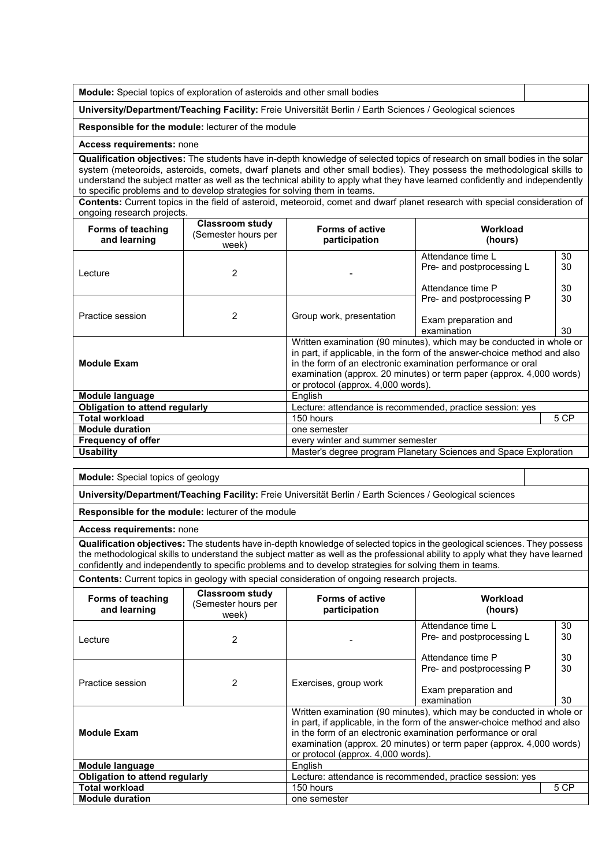**Module:** Special topics of exploration of asteroids and other small bodies

**University/Department/Teaching Facility:** Freie Universität Berlin / Earth Sciences / Geological sciences

**Responsible for the module:** lecturer of the module

#### **Access requirements:** none

**Qualification objectives:** The students have in-depth knowledge of selected topics of research on small bodies in the solar system (meteoroids, asteroids, comets, dwarf planets and other small bodies). They possess the methodological skills to understand the subject matter as well as the technical ability to apply what they have learned confidently and independently to specific problems and to develop strategies for solving them in teams.

**Contents:** Current topics in the field of asteroid, meteoroid, comet and dwarf planet research with special consideration of ongoing research projects.

| Forms of teaching<br>and learning     | Classroom study<br>Semester hours per<br>week) | <b>Forms of active</b><br>participation                          | Workload<br>(hours)                                                                                                                                                                                                                                                                      |                |
|---------------------------------------|------------------------------------------------|------------------------------------------------------------------|------------------------------------------------------------------------------------------------------------------------------------------------------------------------------------------------------------------------------------------------------------------------------------------|----------------|
| Lecture                               | 2                                              |                                                                  | Attendance time L<br>Pre- and postprocessing L<br>Attendance time P                                                                                                                                                                                                                      | 30<br>30<br>30 |
| Practice session                      | $\overline{2}$                                 | Group work, presentation                                         | Pre- and postprocessing P<br>Exam preparation and<br>examination                                                                                                                                                                                                                         | 30<br>30       |
| <b>Module Exam</b>                    |                                                | or protocol (approx. 4,000 words).                               | Written examination (90 minutes), which may be conducted in whole or<br>in part, if applicable, in the form of the answer-choice method and also<br>in the form of an electronic examination performance or oral<br>examination (approx. 20 minutes) or term paper (approx. 4,000 words) |                |
| Module language                       |                                                | English                                                          |                                                                                                                                                                                                                                                                                          |                |
| <b>Obligation to attend regularly</b> |                                                | Lecture: attendance is recommended, practice session: yes        |                                                                                                                                                                                                                                                                                          |                |
| <b>Total workload</b>                 |                                                | 5 CP<br>150 hours                                                |                                                                                                                                                                                                                                                                                          |                |
| <b>Module duration</b>                |                                                | one semester                                                     |                                                                                                                                                                                                                                                                                          |                |
| Frequency of offer                    |                                                | every winter and summer semester                                 |                                                                                                                                                                                                                                                                                          |                |
| <b>Usability</b>                      |                                                | Master's degree program Planetary Sciences and Space Exploration |                                                                                                                                                                                                                                                                                          |                |

**Module:** Special topics of geology

**University/Department/Teaching Facility:** Freie Universität Berlin / Earth Sciences / Geological sciences

**Responsible for the module:** lecturer of the module

**Access requirements:** none

**Qualification objectives:** The students have in-depth knowledge of selected topics in the geological sciences. They possess the methodological skills to understand the subject matter as well as the professional ability to apply what they have learned confidently and independently to specific problems and to develop strategies for solving them in teams.

**Contents:** Current topics in geology with special consideration of ongoing research projects.

| Forms of teaching<br>and learning | <b>Classroom study</b><br>(Semester hours per<br>week) | <b>Forms of active</b><br>participation                                                                                                                                                                                                                                                                                        | Workload<br>(hours)                                                 |                |
|-----------------------------------|--------------------------------------------------------|--------------------------------------------------------------------------------------------------------------------------------------------------------------------------------------------------------------------------------------------------------------------------------------------------------------------------------|---------------------------------------------------------------------|----------------|
| Lecture                           | 2                                                      |                                                                                                                                                                                                                                                                                                                                | Attendance time L<br>Pre- and postprocessing L<br>Attendance time P | 30<br>30<br>30 |
| Practice session                  | 2                                                      | Exercises, group work                                                                                                                                                                                                                                                                                                          | Pre- and postprocessing P<br>Exam preparation and<br>examination    | 30<br>30       |
| <b>Module Exam</b>                |                                                        | Written examination (90 minutes), which may be conducted in whole or<br>in part, if applicable, in the form of the answer-choice method and also<br>in the form of an electronic examination performance or oral<br>examination (approx. 20 minutes) or term paper (approx. 4,000 words)<br>or protocol (approx. 4,000 words). |                                                                     |                |
| Module language                   |                                                        | English                                                                                                                                                                                                                                                                                                                        |                                                                     |                |
| Obligation to attend regularly    |                                                        | Lecture: attendance is recommended, practice session: yes                                                                                                                                                                                                                                                                      |                                                                     |                |
| <b>Total workload</b>             |                                                        | 5 CP<br>150 hours                                                                                                                                                                                                                                                                                                              |                                                                     |                |
| <b>Module duration</b>            |                                                        | one semester                                                                                                                                                                                                                                                                                                                   |                                                                     |                |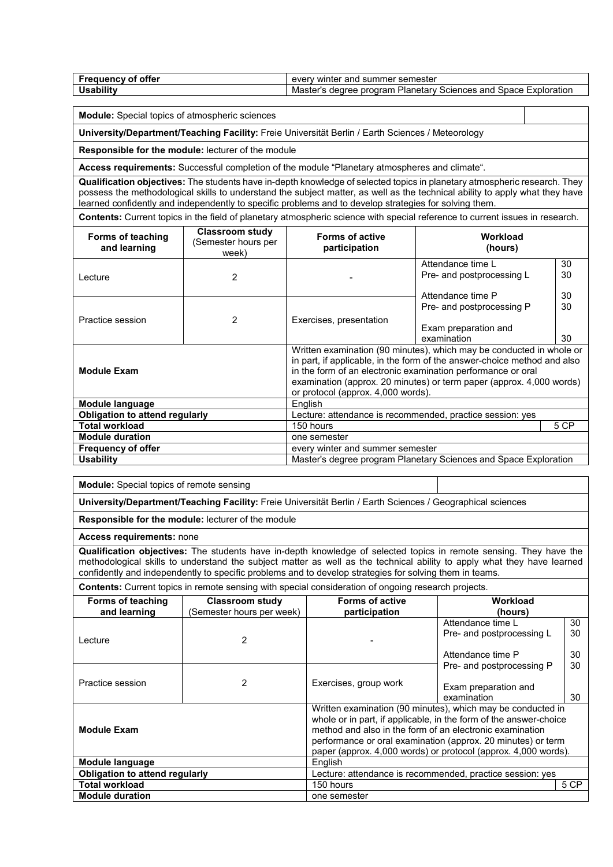| $-$<br>offer<br>Freauency of | v winter<br>semester<br>and<br>summer<br>even                                        |
|------------------------------|--------------------------------------------------------------------------------------|
| Jsabilit <sup>.</sup>        | Master's<br>Exploration<br>, Planetarv<br>program<br>dearee<br>Sciences and<br>Space |

**Module:** Special topics of atmospheric sciences

**University/Department/Teaching Facility:** Freie Universität Berlin / Earth Sciences / Meteorology

**Responsible for the module:** lecturer of the module

**Access requirements:** Successful completion of the module "Planetary atmospheres and climate".

**Qualification objectives:** The students have in-depth knowledge of selected topics in planetary atmospheric research. They possess the methodological skills to understand the subject matter, as well as the technical ability to apply what they have learned confidently and independently to specific problems and to develop strategies for solving them.

**Contents:** Current topics in the field of planetary atmospheric science with special reference to current issues in research.

| Forms of teaching<br>and learning      | Classroom study<br>Semester hours per<br>week) | <b>Forms of active</b><br>participation                          | Workload<br>(hours)                                                                                                                                                                                                                                                                      |    |
|----------------------------------------|------------------------------------------------|------------------------------------------------------------------|------------------------------------------------------------------------------------------------------------------------------------------------------------------------------------------------------------------------------------------------------------------------------------------|----|
|                                        |                                                |                                                                  | Attendance time L                                                                                                                                                                                                                                                                        | 30 |
| Lecture                                | $\overline{2}$                                 |                                                                  | Pre- and postprocessing L                                                                                                                                                                                                                                                                | 30 |
|                                        |                                                |                                                                  | Attendance time P                                                                                                                                                                                                                                                                        | 30 |
|                                        |                                                |                                                                  | Pre- and postprocessing P                                                                                                                                                                                                                                                                | 30 |
| Practice session                       | $\overline{2}$                                 | Exercises, presentation                                          | Exam preparation and<br>examination                                                                                                                                                                                                                                                      | 30 |
| <b>Module Exam</b>                     |                                                | or protocol (approx. 4,000 words).                               | Written examination (90 minutes), which may be conducted in whole or<br>in part, if applicable, in the form of the answer-choice method and also<br>in the form of an electronic examination performance or oral<br>examination (approx. 20 minutes) or term paper (approx. 4,000 words) |    |
| Module language                        |                                                | English                                                          |                                                                                                                                                                                                                                                                                          |    |
| <b>Obligation to attend regularly</b>  |                                                | Lecture: attendance is recommended, practice session: yes        |                                                                                                                                                                                                                                                                                          |    |
| <b>Total workload</b>                  |                                                | 5 CP<br>150 hours                                                |                                                                                                                                                                                                                                                                                          |    |
| <b>Module duration</b><br>one semester |                                                |                                                                  |                                                                                                                                                                                                                                                                                          |    |
| <b>Frequency of offer</b>              |                                                | every winter and summer semester                                 |                                                                                                                                                                                                                                                                                          |    |
| <b>Usability</b>                       |                                                | Master's degree program Planetary Sciences and Space Exploration |                                                                                                                                                                                                                                                                                          |    |

**Module:** Special topics of remote sensing

**University/Department/Teaching Facility:** Freie Universität Berlin / Earth Sciences / Geographical sciences

**Responsible for the module:** lecturer of the module

**Access requirements:** none

**Qualification objectives:** The students have in-depth knowledge of selected topics in remote sensing. They have the methodological skills to understand the subject matter as well as the technical ability to apply what they have learned confidently and independently to specific problems and to develop strategies for solving them in teams.

**Contents:** Current topics in remote sensing with special consideration of ongoing research projects.

| Forms of teaching<br>and learning     | <b>Classroom study</b><br>(Semester hours per week) | <b>Forms of active</b><br>Workload<br>participation<br>(hours)                                                                                                                                                                                                                                                                 |                                     |    |  |
|---------------------------------------|-----------------------------------------------------|--------------------------------------------------------------------------------------------------------------------------------------------------------------------------------------------------------------------------------------------------------------------------------------------------------------------------------|-------------------------------------|----|--|
|                                       | 2                                                   |                                                                                                                                                                                                                                                                                                                                | Attendance time I                   |    |  |
| Lecture                               |                                                     |                                                                                                                                                                                                                                                                                                                                | Pre- and postprocessing L           | 30 |  |
|                                       |                                                     |                                                                                                                                                                                                                                                                                                                                | Attendance time P                   | 30 |  |
|                                       |                                                     |                                                                                                                                                                                                                                                                                                                                | Pre- and postprocessing P           | 30 |  |
| Practice session                      | 2                                                   | Exercises, group work                                                                                                                                                                                                                                                                                                          | Exam preparation and<br>examination | 30 |  |
| <b>Module Exam</b>                    |                                                     | Written examination (90 minutes), which may be conducted in<br>whole or in part, if applicable, in the form of the answer-choice<br>method and also in the form of an electronic examination<br>performance or oral examination (approx. 20 minutes) or term<br>paper (approx. 4,000 words) or protocol (approx. 4,000 words). |                                     |    |  |
| Module language<br>English            |                                                     |                                                                                                                                                                                                                                                                                                                                |                                     |    |  |
| <b>Obligation to attend regularly</b> |                                                     | Lecture: attendance is recommended, practice session: yes                                                                                                                                                                                                                                                                      |                                     |    |  |
| <b>Total workload</b>                 |                                                     | 150 hours                                                                                                                                                                                                                                                                                                                      |                                     |    |  |
| <b>Module duration</b>                |                                                     | one semester                                                                                                                                                                                                                                                                                                                   |                                     |    |  |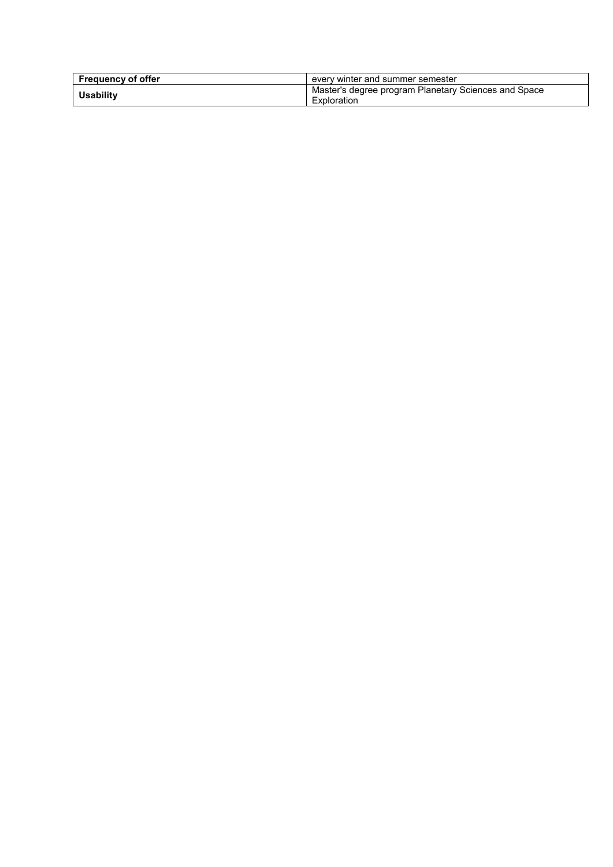| <b>Frequency of offer</b> | every winter and summer semester                                                 |
|---------------------------|----------------------------------------------------------------------------------|
| <b>Usability</b>          | <sup>1</sup> Master's degree program Planetary Sciences and Space<br>Exploration |